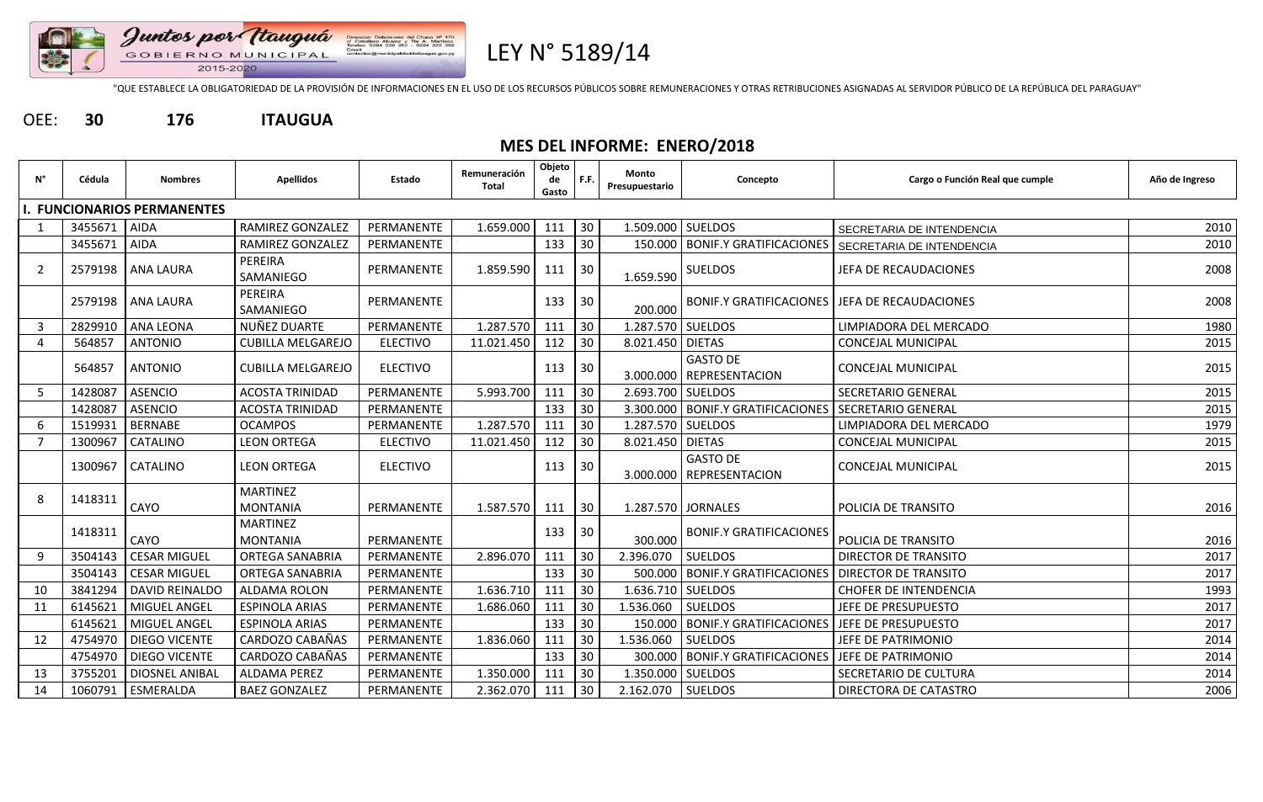

# LEY N° 5189/14

"QUE ESTABLECE LA OBLIGATORIEDAD DE LA PROVISIÓN DE INFORMACIONES EN EL USO DE LOS RECURSOS PÚBLICOS SOBRE REMUNERACIONES Y OTRAS RETRIBUCIONES ASIGNADAS AL SERVIDOR PÚBLICO DE LA REPÚBLICA DEL PARAGUAY"

OEE: **30 176 ITAUGUA**

## **MES DEL INFORME: ENERO/2018**

| Ν° | Cédula  | <b>Nombres</b>             | <b>Apellidos</b>                   | Estado          | Remuneración<br>Total | Objeto<br>de<br>Gasto | F.F. | Monto<br>Presupuestario | Concepto                                        | Cargo o Función Real que cumple | Año de Ingreso |
|----|---------|----------------------------|------------------------------------|-----------------|-----------------------|-----------------------|------|-------------------------|-------------------------------------------------|---------------------------------|----------------|
|    |         | . FUNCIONARIOS PERMANENTES |                                    |                 |                       |                       |      |                         |                                                 |                                 |                |
|    | 3455671 | <b>AIDA</b>                | RAMIREZ GONZALEZ                   | PERMANENTE      | 1.659.000             | 111                   | 30   | 1.509.000               | <b>SUELDOS</b>                                  | SECRETARIA DE INTENDENCIA       | 2010           |
|    | 3455671 | <b>AIDA</b>                | <b>RAMIREZ GONZALEZ</b>            | PERMANENTE      |                       | 133                   | 30   | 150.000                 | <b>BONIF.Y GRATIFICACIONES</b>                  | SECRETARIA DE INTENDENCIA       | 2010           |
| 2  | 2579198 | <b>ANA LAURA</b>           | PEREIRA<br>SAMANIEGO               | PERMANENTE      | 1.859.590             | 111                   | 30   | 1.659.590               | SUELDOS                                         | JEFA DE RECAUDACIONES           | 2008           |
|    | 2579198 | ANA LAURA                  | PEREIRA<br>SAMANIEGO               | PERMANENTE      |                       | 133                   | 30   | 200.000                 | BONIF.Y GRATIFICACIONES   JEFA DE RECAUDACIONES |                                 | 2008           |
| 3  | 2829910 | <b>ANA LEONA</b>           | NUÑEZ DUARTE                       | PERMANENTE      | 1.287.570             | 111                   | 30   | 1.287.570 SUELDOS       |                                                 | LIMPIADORA DEL MERCADO          | 1980           |
| 4  | 564857  | <b>ANTONIO</b>             | <b>CUBILLA MELGAREJO</b>           | <b>ELECTIVO</b> | 11.021.450            | 112                   | 30   | 8.021.450 DIETAS        |                                                 | <b>CONCEJAL MUNICIPAL</b>       | 2015           |
|    | 564857  | <b>ANTONIO</b>             | <b>CUBILLA MELGAREJO</b>           | <b>ELECTIVO</b> |                       | 113                   | 30   |                         | <b>GASTO DE</b><br>3.000.000   REPRESENTACION   | <b>CONCEJAL MUNICIPAL</b>       | 2015           |
| 5  | 1428087 | <b>ASENCIO</b>             | <b>ACOSTA TRINIDAD</b>             | PERMANENTE      | 5.993.700             | 111                   | 30   | 2.693.700               | <b>SUELDOS</b>                                  | <b>SECRETARIO GENERAL</b>       | 2015           |
|    | 1428087 | <b>ASENCIO</b>             | <b>ACOSTA TRINIDAD</b>             | PERMANENTE      |                       | 133                   | 30   | 3.300.000               | <b>BONIF.Y GRATIFICACIONES</b>                  | <b>SECRETARIO GENERAL</b>       | 2015           |
| 6  | 1519931 | <b>BERNABE</b>             | <b>OCAMPOS</b>                     | PERMANENTE      | 1.287.570             | 111                   | 30   | 1.287.570 SUELDOS       |                                                 | LIMPIADORA DEL MERCADO          | 1979           |
|    | 1300967 | CATALINO                   | <b>LEON ORTEGA</b>                 | <b>ELECTIVO</b> | 11.021.450            | 112                   | 30   | 8.021.450 DIETAS        |                                                 | CONCEJAL MUNICIPAL              | 2015           |
|    | 1300967 | CATALINO                   | <b>LEON ORTEGA</b>                 | <b>ELECTIVO</b> |                       | 113                   | 30   | 3.000.000               | <b>GASTO DE</b><br><b>REPRESENTACION</b>        | <b>CONCEJAL MUNICIPAL</b>       | 2015           |
| 8  | 1418311 | CAYO                       | <b>MARTINEZ</b><br><b>MONTANIA</b> | PERMANENTE      | 1.587.570             | 111                   | 30   |                         | 1.287.570 JORNALES                              | POLICIA DE TRANSITO             | 2016           |
|    | 1418311 | CAYO                       | <b>MARTINEZ</b><br><b>MONTANIA</b> | PERMANENTE      |                       | 133                   | 30   | 300.000                 | <b>BONIF.Y GRATIFICACIONES</b>                  | POLICIA DE TRANSITO             | 2016           |
| 9  | 3504143 | <b>CESAR MIGUEL</b>        | <b>ORTEGA SANABRIA</b>             | PERMANENTE      | 2.896.070             | 111                   | 30   | 2.396.070               | <b>SUELDOS</b>                                  | DIRECTOR DE TRANSITO            | 2017           |
|    | 3504143 | <b>CESAR MIGUEL</b>        | <b>ORTEGA SANABRIA</b>             | PERMANENTE      |                       | 133                   | 30   | 500.000                 | <b>BONIF.Y GRATIFICACIONES</b>                  | <b>DIRECTOR DE TRANSITO</b>     | 2017           |
| 10 | 3841294 | DAVID REINALDO             | ALDAMA ROLON                       | PERMANENTE      | 1.636.710             | 111                   | 30   | 1.636.710               | <b>SUELDOS</b>                                  | <b>CHOFER DE INTENDENCIA</b>    | 1993           |
| 11 | 6145621 | MIGUEL ANGEL               | <b>ESPINOLA ARIAS</b>              | PERMANENTE      | 1.686.060             | 111                   | 30   | 1.536.060               | <b>SUELDOS</b>                                  | JEFE DE PRESUPUESTO             | 2017           |
|    | 6145621 | MIGUEL ANGEL               | <b>ESPINOLA ARIAS</b>              | PERMANENTE      |                       | 133                   | 30   | 150.000                 | <b>BONIF.Y GRATIFICACIONES</b>                  | JEFE DE PRESUPUESTO             | 2017           |
| 12 | 4754970 | <b>DIEGO VICENTE</b>       | CARDOZO CABAÑAS                    | PERMANENTE      | 1.836.060             | 111                   | 30   | 1.536.060               | <b>SUELDOS</b>                                  | JEFE DE PATRIMONIO              | 2014           |
|    | 4754970 | <b>DIEGO VICENTE</b>       | CARDOZO CABAÑAS                    | PERMANENTE      |                       | 133                   | 30   | 300.000                 | <b>BONIF.Y GRATIFICACIONES</b>                  | JEFE DE PATRIMONIO              | 2014           |
| 13 | 3755201 | <b>DIOSNEL ANIBAL</b>      | <b>ALDAMA PEREZ</b>                | PERMANENTE      | 1.350.000             | 111                   | 30   | 1.350.000               | <b>SUELDOS</b>                                  | SECRETARIO DE CULTURA           | 2014           |
| 14 | 1060791 | ESMERALDA                  | <b>BAEZ GONZALEZ</b>               | PERMANENTE      | 2.362.070             | 111                   | 30   | 2.162.070               | <b>SUELDOS</b>                                  | DIRECTORA DE CATASTRO           | 2006           |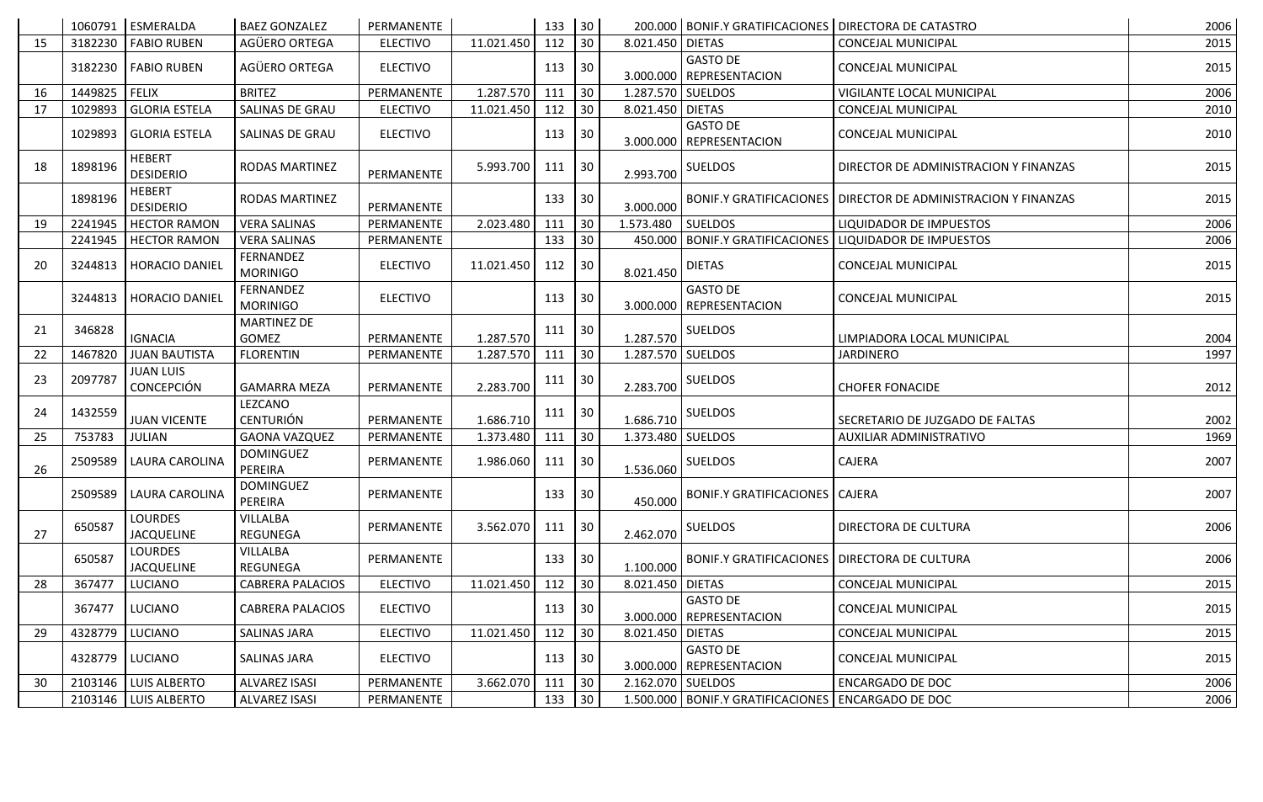|    | 1060791 | ESMERALDA                             | <b>BAEZ GONZALEZ</b>         | PERMANENTE      |            | 133      | 30 |                   | 200.000 BONIF.Y GRATIFICACIONES   DIRECTORA DE CATASTRO |                                                                 | 2006 |
|----|---------|---------------------------------------|------------------------------|-----------------|------------|----------|----|-------------------|---------------------------------------------------------|-----------------------------------------------------------------|------|
| 15 | 3182230 | <b>FABIO RUBEN</b>                    | AGÜERO ORTEGA                | <b>ELECTIVO</b> | 11.021.450 | 112      | 30 | 8.021.450 DIETAS  |                                                         | <b>CONCEJAL MUNICIPAL</b>                                       | 2015 |
|    | 3182230 | <b>FABIO RUBEN</b>                    | AGÜERO ORTEGA                | <b>ELECTIVO</b> |            | 113      | 30 |                   | <b>GASTO DE</b><br>3.000.000 REPRESENTACION             | <b>CONCEJAL MUNICIPAL</b>                                       | 2015 |
| 16 | 1449825 | <b>FELIX</b>                          | <b>BRITEZ</b>                | PERMANENTE      | 1.287.570  | 111      | 30 | 1.287.570 SUELDOS |                                                         | VIGILANTE LOCAL MUNICIPAL                                       | 2006 |
| 17 | 1029893 | <b>GLORIA ESTELA</b>                  | SALINAS DE GRAU              | <b>ELECTIVO</b> | 11.021.450 | 112      | 30 | 8.021.450 DIETAS  |                                                         | CONCEJAL MUNICIPAL                                              | 2010 |
|    | 1029893 | <b>GLORIA ESTELA</b>                  | <b>SALINAS DE GRAU</b>       | <b>ELECTIVO</b> |            | 113      | 30 |                   | <b>GASTO DE</b><br>3.000.000 REPRESENTACION             | CONCEJAL MUNICIPAL                                              | 2010 |
| 18 | 1898196 | <b>HEBERT</b><br><b>DESIDERIO</b>     | RODAS MARTINEZ               | PERMANENTE      | 5.993.700  | 111      | 30 | 2.993.700         | <b>SUELDOS</b>                                          | DIRECTOR DE ADMINISTRACION Y FINANZAS                           | 2015 |
|    | 1898196 | <b>HEBERT</b><br><b>DESIDERIO</b>     | <b>RODAS MARTINEZ</b>        | PERMANENTE      |            | 133      | 30 | 3.000.000         |                                                         | BONIF.Y GRATIFICACIONES   DIRECTOR DE ADMINISTRACION Y FINANZAS | 2015 |
| 19 | 2241945 | <b>HECTOR RAMON</b>                   | <b>VERA SALINAS</b>          | PERMANENTE      | 2.023.480  | 111      | 30 | 1.573.480         | <b>SUELDOS</b>                                          | LIQUIDADOR DE IMPUESTOS                                         | 2006 |
|    | 2241945 | <b>HECTOR RAMON</b>                   | <b>VERA SALINAS</b>          | PERMANENTE      |            | 133      | 30 | 450.000           | <b>BONIF.Y GRATIFICACIONES</b>                          | LIQUIDADOR DE IMPUESTOS                                         | 2006 |
| 20 | 3244813 | <b>HORACIO DANIEL</b>                 | FERNANDEZ<br><b>MORINIGO</b> | <b>ELECTIVO</b> | 11.021.450 | 112      | 30 | 8.021.450         | <b>DIETAS</b>                                           | CONCEJAL MUNICIPAL                                              | 2015 |
|    | 3244813 | <b>HORACIO DANIEL</b>                 | FERNANDEZ<br><b>MORINIGO</b> | <b>ELECTIVO</b> |            | 113      | 30 |                   | <b>GASTO DE</b><br>3.000.000 REPRESENTACION             | <b>CONCEJAL MUNICIPAL</b>                                       | 2015 |
| 21 | 346828  | <b>IGNACIA</b>                        | <b>MARTINEZ DE</b><br>GOMEZ  | PERMANENTE      | 1.287.570  | 111      | 30 | 1.287.570         | <b>SUELDOS</b>                                          | LIMPIADORA LOCAL MUNICIPAL                                      | 2004 |
| 22 | 1467820 | <b>JUAN BAUTISTA</b>                  | <b>FLORENTIN</b>             | PERMANENTE      | 1.287.570  | 111      | 30 | 1.287.570 SUELDOS |                                                         | <b>JARDINERO</b>                                                | 1997 |
| 23 | 2097787 | <b>JUAN LUIS</b><br><b>CONCEPCIÓN</b> | <b>GAMARRA MEZA</b>          | PERMANENTE      | 2.283.700  | $111$ 30 |    | 2.283.700         | <b>SUELDOS</b>                                          | <b>CHOFER FONACIDE</b>                                          | 2012 |
| 24 | 1432559 | <b>JUAN VICENTE</b>                   | LEZCANO<br><b>CENTURIÓN</b>  | PERMANENTE      | 1.686.710  | $111$ 30 |    | 1.686.710         | <b>SUELDOS</b>                                          | SECRETARIO DE JUZGADO DE FALTAS                                 | 2002 |
| 25 | 753783  | JULIAN                                | <b>GAONA VAZQUEZ</b>         | PERMANENTE      | 1.373.480  | 111      | 30 | 1.373.480 SUELDOS |                                                         | AUXILIAR ADMINISTRATIVO                                         | 1969 |
| 26 | 2509589 | LAURA CAROLINA                        | <b>DOMINGUEZ</b><br>PEREIRA  | PERMANENTE      | 1.986.060  | 111      | 30 | 1.536.060         | <b>SUELDOS</b>                                          | <b>CAJERA</b>                                                   | 2007 |
|    | 2509589 | LAURA CAROLINA                        | <b>DOMINGUEZ</b><br>PEREIRA  | PERMANENTE      |            | 133      | 30 | 450.000           | <b>BONIF.Y GRATIFICACIONES   CAJERA</b>                 |                                                                 | 2007 |
| 27 | 650587  | <b>LOURDES</b><br><b>JACQUELINE</b>   | VILLALBA<br>REGUNEGA         | PERMANENTE      | 3.562.070  | 111      | 30 | 2.462.070         | <b>SUELDOS</b>                                          | DIRECTORA DE CULTURA                                            | 2006 |
|    | 650587  | <b>LOURDES</b><br><b>JACQUELINE</b>   | VILLALBA<br>REGUNEGA         | PERMANENTE      |            | 133      | 30 | 1.100.000         | BONIF.Y GRATIFICACIONES   DIRECTORA DE CULTURA          |                                                                 | 2006 |
| 28 | 367477  | LUCIANO                               | <b>CABRERA PALACIOS</b>      | <b>ELECTIVO</b> | 11.021.450 | 112      | 30 | 8.021.450 DIETAS  |                                                         | <b>CONCEJAL MUNICIPAL</b>                                       | 2015 |
|    |         | 367477   LUCIANO                      | CABRERA PALACIOS             | <b>ELECTIVO</b> |            | 113 30   |    |                   | <b>GASTO DE</b><br>3.000.000 REPRESENTACION             | CONCEJAL MUNICIPAL                                              | 2015 |
| 29 | 4328779 | LUCIANO                               | <b>SALINAS JARA</b>          | <b>ELECTIVO</b> | 11.021.450 | 112      | 30 | 8.021.450 DIETAS  |                                                         | CONCEJAL MUNICIPAL                                              | 2015 |
|    |         | 4328779   LUCIANO                     | SALINAS JARA                 | <b>ELECTIVO</b> |            | 113      | 30 |                   | <b>GASTO DE</b><br>3.000.000 REPRESENTACION             | CONCEJAL MUNICIPAL                                              | 2015 |
| 30 | 2103146 | LUIS ALBERTO                          | <b>ALVAREZ ISASI</b>         | PERMANENTE      | 3.662.070  | 111      | 30 | 2.162.070 SUELDOS |                                                         | <b>ENCARGADO DE DOC</b>                                         | 2006 |
|    | 2103146 | LUIS ALBERTO                          | ALVAREZ ISASI                | PERMANENTE      |            | 133      | 30 |                   | 1.500.000 BONIF.Y GRATIFICACIONES                       | <b>ENCARGADO DE DOC</b>                                         | 2006 |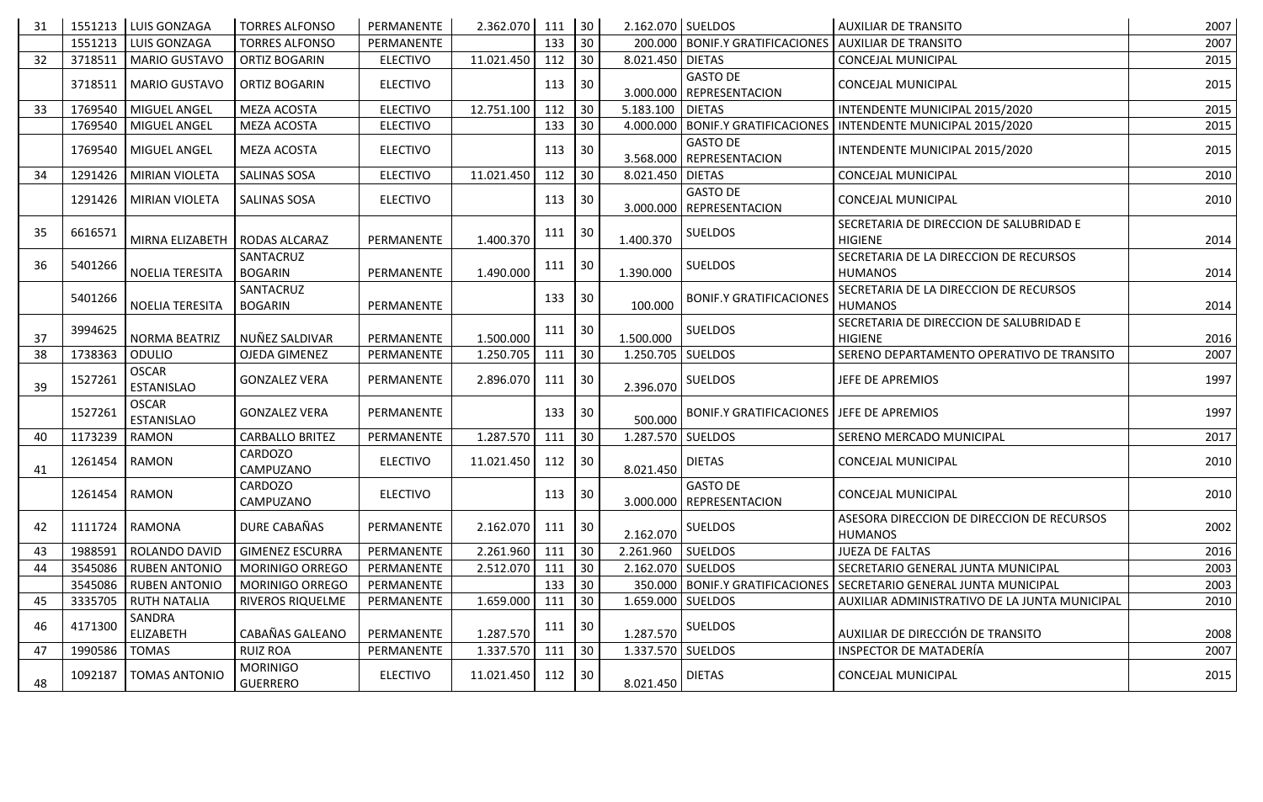| 31 |               | 1551213   LUIS GONZAGA            | <b>TORRES ALFONSO</b>              | PERMANENTE        | 2.362.070 111  |     | 30              | 2.162.070 SUELDOS |                                             | <b>AUXILIAR DE TRANSITO</b>                                  | 2007 |
|----|---------------|-----------------------------------|------------------------------------|-------------------|----------------|-----|-----------------|-------------------|---------------------------------------------|--------------------------------------------------------------|------|
|    | 1551213       | LUIS GONZAGA                      | <b>TORRES ALFONSO</b>              | <b>PERMANENTE</b> |                | 133 | $\overline{30}$ | 200.000           | <b>BONIF.Y GRATIFICACIONES</b>              | <b>AUXILIAR DE TRANSITO</b>                                  | 2007 |
| 32 | 3718511       | <b>MARIO GUSTAVO</b>              | ORTIZ BOGARIN                      | <b>ELECTIVO</b>   | 11.021.450     | 112 | 30              | 8.021.450 DIETAS  |                                             | CONCEJAL MUNICIPAL                                           | 2015 |
|    | 3718511       | <b>MARIO GUSTAVO</b>              | ORTIZ BOGARIN                      | <b>ELECTIVO</b>   |                | 113 | 30              |                   | <b>GASTO DE</b><br>3.000.000 REPRESENTACION | CONCEJAL MUNICIPAL                                           | 2015 |
| 33 | 1769540       | MIGUEL ANGEL                      | MEZA ACOSTA                        | <b>ELECTIVO</b>   | 12.751.100     | 112 | 30              | 5.183.100         | <b>DIETAS</b>                               | INTENDENTE MUNICIPAL 2015/2020                               | 2015 |
|    | 1769540       | MIGUEL ANGEL                      | MEZA ACOSTA                        | <b>ELECTIVO</b>   |                | 133 | 30              |                   | 4.000.000 BONIF.Y GRATIFICACIONES           | INTENDENTE MUNICIPAL 2015/2020                               | 2015 |
|    | 1769540       | MIGUEL ANGEL                      | MEZA ACOSTA                        | <b>ELECTIVO</b>   |                | 113 | 30              |                   | <b>GASTO DE</b><br>3.568.000 REPRESENTACION | INTENDENTE MUNICIPAL 2015/2020                               | 2015 |
| 34 | 1291426       | <b>MIRIAN VIOLETA</b>             | <b>SALINAS SOSA</b>                | <b>ELECTIVO</b>   | 11.021.450     | 112 | 30              | 8.021.450 DIETAS  |                                             | CONCEJAL MUNICIPAL                                           | 2010 |
|    | 1291426       | <b>MIRIAN VIOLETA</b>             | SALINAS SOSA                       | <b>ELECTIVO</b>   |                | 113 | 30              | 3.000.000         | <b>GASTO DE</b><br><b>REPRESENTACION</b>    | CONCEJAL MUNICIPAL                                           | 2010 |
| 35 | 6616571       | MIRNA ELIZABETH                   | RODAS ALCARAZ                      | PERMANENTE        | 1.400.370      | 111 | 30              | 1.400.370         | SUELDOS                                     | SECRETARIA DE DIRECCION DE SALUBRIDAD E<br><b>HIGIENE</b>    | 2014 |
| 36 | 5401266       | <b>NOELIA TERESITA</b>            | SANTACRUZ<br><b>BOGARIN</b>        | PERMANENTE        | 1.490.000      | 111 | 30              | 1.390.000         | <b>SUELDOS</b>                              | SECRETARIA DE LA DIRECCION DE RECURSOS<br><b>HUMANOS</b>     | 2014 |
|    | 5401266       | <b>NOELIA TERESITA</b>            | SANTACRUZ<br><b>BOGARIN</b>        | PERMANENTE        |                | 133 | 30              | 100.000           | <b>BONIF.Y GRATIFICACIONES</b>              | SECRETARIA DE LA DIRECCION DE RECURSOS<br><b>HUMANOS</b>     | 2014 |
| 37 | 3994625       | NORMA BEATRIZ                     | NUÑEZ SALDIVAR                     | PERMANENTE        | 1.500.000      | 111 | 30              | 1.500.000         | <b>SUELDOS</b>                              | SECRETARIA DE DIRECCION DE SALUBRIDAD E<br><b>HIGIENE</b>    | 2016 |
| 38 | 1738363       | ODULIO                            | <b>OJEDA GIMENEZ</b>               | PERMANENTE        | 1.250.705      | 111 | 30              | 1.250.705         | <b>SUELDOS</b>                              | SERENO DEPARTAMENTO OPERATIVO DE TRANSITO                    | 2007 |
| 39 | 1527261       | <b>OSCAR</b><br><b>ESTANISLAO</b> | <b>GONZALEZ VERA</b>               | PERMANENTE        | 2.896.070      | 111 | 30              | 2.396.070         | <b>SUELDOS</b>                              | JEFE DE APREMIOS                                             | 1997 |
|    | 1527261       | <b>OSCAR</b><br><b>ESTANISLAO</b> | <b>GONZALEZ VERA</b>               | PERMANENTE        |                | 133 | 30              | 500.000           | <b>BONIF.Y GRATIFICACIONES</b>              | JEFE DE APREMIOS                                             | 1997 |
| 40 | 1173239       | <b>RAMON</b>                      | <b>CARBALLO BRITEZ</b>             | PERMANENTE        | 1.287.570      | 111 | 30              | 1.287.570 SUELDOS |                                             | SERENO MERCADO MUNICIPAL                                     | 2017 |
| 41 | 1261454       | RAMON                             | CARDOZO<br>CAMPUZANO               | <b>ELECTIVO</b>   | 11.021.450     | 112 | 30              | 8.021.450         | <b>DIETAS</b>                               | CONCEJAL MUNICIPAL                                           | 2010 |
|    | 1261454 RAMON |                                   | CARDOZO<br>CAMPUZANO               | <b>ELECTIVO</b>   |                | 113 | 30              |                   | <b>GASTO DE</b><br>3.000.000 REPRESENTACION | CONCEJAL MUNICIPAL                                           | 2010 |
| 42 | 1111724       | RAMONA                            | DURE CABAÑAS                       | PERMANENTE        | 2.162.070      | 111 | 30              | 2.162.070         | <b>SUELDOS</b>                              | ASESORA DIRECCION DE DIRECCION DE RECURSOS<br><b>HUMANOS</b> | 2002 |
| 43 | 1988591       | ROLANDO DAVID                     | <b>GIMENEZ ESCURRA</b>             | PERMANENTE        | 2.261.960      | 111 | 30              | 2.261.960         | <b>SUELDOS</b>                              | <b>JUEZA DE FALTAS</b>                                       | 2016 |
| 44 | 3545086       | <b>RUBEN ANTONIO</b>              | MORINIGO ORREGO                    | PERMANENTE        | 2.512.070      | 111 | 30              | 2.162.070 SUELDOS |                                             | SECRETARIO GENERAL JUNTA MUNICIPAL                           | 2003 |
|    | 3545086       | <b>RUBEN ANTONIO</b>              | MORINIGO ORREGO                    | PERMANENTE        |                | 133 | 30              |                   | 350.000 BONIF.Y GRATIFICACIONES             | SECRETARIO GENERAL JUNTA MUNICIPAL                           | 2003 |
| 45 | 3335705       | <b>RUTH NATALIA</b>               | RIVEROS RIQUELME                   | PERMANENTE        | 1.659.000      | 111 | 30              | 1.659.000         | <b>SUELDOS</b>                              | AUXILIAR ADMINISTRATIVO DE LA JUNTA MUNICIPAL                | 2010 |
| 46 | 4171300       | SANDRA<br>ELIZABETH               | CABAÑAS GALEANO                    | PERMANENTE        | 1.287.570      | 111 | 30              | 1.287.570         | <b>SUELDOS</b>                              | AUXILIAR DE DIRECCIÓN DE TRANSITO                            | 2008 |
| 47 | 1990586       | <b>TOMAS</b>                      | <b>RUIZ ROA</b>                    | PERMANENTE        | 1.337.570      | 111 | 30              | 1.337.570 SUELDOS |                                             | INSPECTOR DE MATADERÍA                                       | 2007 |
| 48 | 1092187       | <b>TOMAS ANTONIO</b>              | <b>MORINIGO</b><br><b>GUERRERO</b> | <b>ELECTIVO</b>   | 11.021.450 112 |     | 30              | 8.021.450         | <b>DIETAS</b>                               | CONCEJAL MUNICIPAL                                           | 2015 |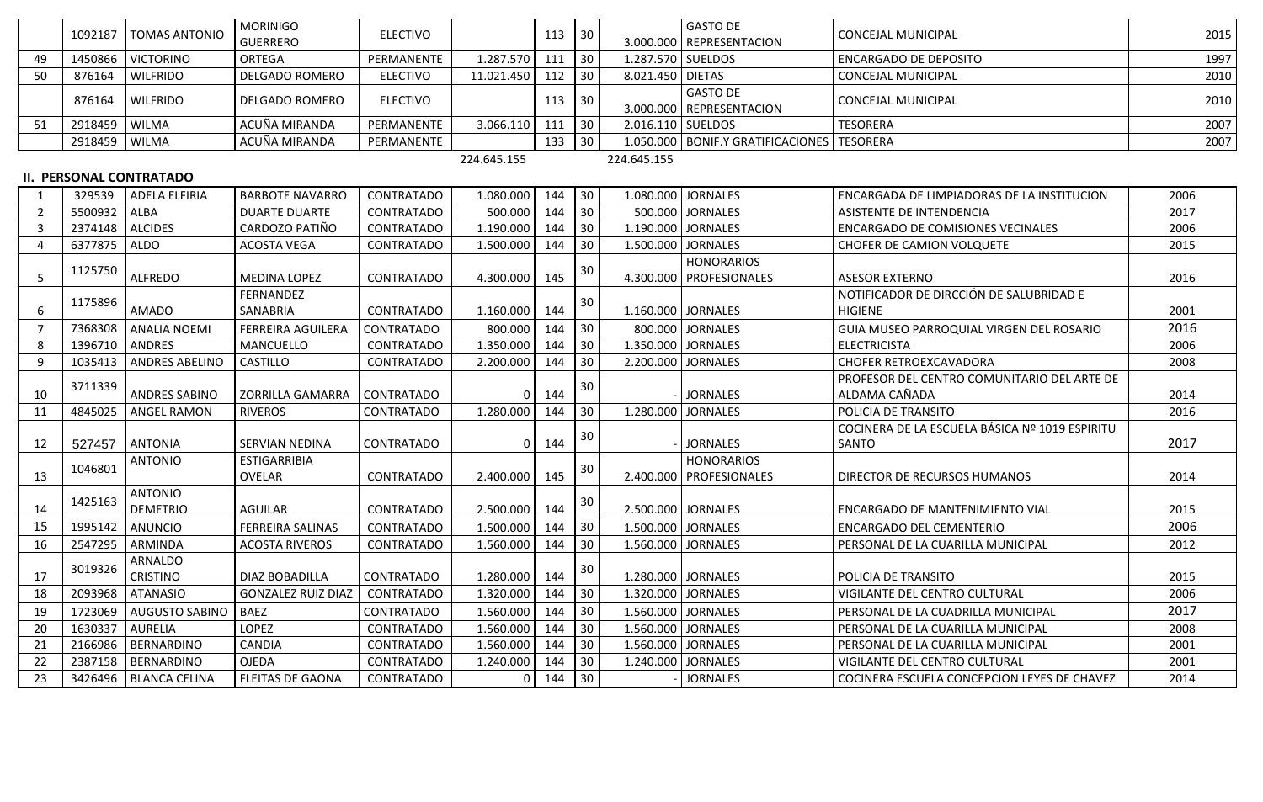|                | 1092187 | <b>TOMAS ANTONIO</b>              | <b>MORINIGO</b><br><b>GUERRERO</b>   | <b>ELECTIVO</b>   |                | 113          | 30 |                    | <b>GASTO DE</b><br>3.000.000 REPRESENTACION    | CONCEJAL MUNICIPAL                              | 2015 |
|----------------|---------|-----------------------------------|--------------------------------------|-------------------|----------------|--------------|----|--------------------|------------------------------------------------|-------------------------------------------------|------|
| 49             | 1450866 | <b>VICTORINO</b>                  | <b>ORTEGA</b>                        | PERMANENTE        | 1.287.570      | 111          | 30 | 1.287.570 SUELDOS  |                                                | <b>ENCARGADO DE DEPOSITO</b>                    | 1997 |
| 50             | 876164  | <b>WILFRIDO</b>                   | <b>DELGADO ROMERO</b>                | <b>ELECTIVO</b>   | 11.021.450     | 112          | 30 | 8.021.450   DIETAS |                                                | CONCEJAL MUNICIPAL                              | 2010 |
|                | 876164  | <b>WILFRIDO</b>                   | DELGADO ROMERO                       | <b>ELECTIVO</b>   |                | 113          | 30 |                    | <b>GASTO DE</b><br>3.000.000 REPRESENTACION    | CONCEJAL MUNICIPAL                              | 2010 |
| 51             | 2918459 | <b>WILMA</b>                      | ACUÑA MIRANDA                        | PERMANENTE        | 3.066.110      | 111          | 30 | 2.016.110 SUELDOS  |                                                | <b>TESORERA</b>                                 | 2007 |
|                | 2918459 | <b>WILMA</b>                      | ACUÑA MIRANDA                        | PERMANENTE        |                | 133          | 30 |                    | 1.050.000 BONIF.Y GRATIFICACIONES   TESORERA   |                                                 | 2007 |
|                |         |                                   |                                      |                   | 224.645.155    |              |    | 224.645.155        |                                                |                                                 |      |
|                |         | <b>II. PERSONAL CONTRATADO</b>    |                                      |                   |                |              |    |                    |                                                |                                                 |      |
| -1             | 329539  | <b>ADELA ELFIRIA</b>              | <b>BARBOTE NAVARRO</b>               | <b>CONTRATADO</b> | 1.080.000      | 144          | 30 | 1.080.000          | <b>JORNALES</b>                                | ENCARGADA DE LIMPIADORAS DE LA INSTITUCION      | 2006 |
| $\overline{2}$ | 5500932 | ALBA                              | <b>DUARTE DUARTE</b>                 | <b>CONTRATADO</b> | 500.000        | 144          | 30 | 500.000            | <b>JORNALES</b>                                | ASISTENTE DE INTENDENCIA                        | 2017 |
| 3              | 2374148 | <b>ALCIDES</b>                    | CARDOZO PATIÑO                       | <b>CONTRATADO</b> | 1.190.000      | 144          | 30 | 1.190.000          | <b>JORNALES</b>                                | <b>ENCARGADO DE COMISIONES VECINALES</b>        | 2006 |
| $\overline{a}$ | 6377875 | <b>ALDO</b>                       | <b>ACOSTA VEGA</b>                   | <b>CONTRATADO</b> | 1.500.000      | 144          | 30 | 1.500.000          | <b>JORNALES</b>                                | <b>CHOFER DE CAMION VOLQUETE</b>                | 2015 |
| -5             | 1125750 | <b>ALFREDO</b>                    | <b>MEDINA LOPEZ</b>                  | <b>CONTRATADO</b> | 4.300.000      | 145          | 30 |                    | <b>HONORARIOS</b><br>4.300.000   PROFESIONALES | <b>ASESOR EXTERNO</b>                           | 2016 |
|                | 1175896 |                                   | FERNANDEZ                            |                   |                |              | 30 |                    |                                                | NOTIFICADOR DE DIRCCIÓN DE SALUBRIDAD E         |      |
| 6              |         | <b>AMADO</b>                      | SANABRIA                             | <b>CONTRATADO</b> | 1.160.000      | 144          |    |                    | 1.160.000 JORNALES                             | <b>HIGIENE</b>                                  | 2001 |
| -7             | 7368308 | <b>ANALIA NOEMI</b>               | <b>FERREIRA AGUILERA</b>             | <b>CONTRATADO</b> | 800.000        | 144          | 30 | 800.000            | <b>JORNALES</b>                                | <b>GUIA MUSEO PARROQUIAL VIRGEN DEL ROSARIO</b> | 2016 |
| 8              | 1396710 | ANDRES                            | MANCUELLO                            | <b>CONTRATADO</b> | 1.350.000      | 144          | 30 | 1.350.000          | <b>JORNALES</b>                                | <b>ELECTRICISTA</b>                             | 2006 |
| $\mathbf{q}$   | 1035413 | <b>ANDRES ABELINO</b>             | CASTILLO                             | <b>CONTRATADO</b> | 2.200.000      | 144          | 30 | 2.200.000          | <b>JORNALES</b>                                | CHOFER RETROEXCAVADORA                          | 2008 |
|                | 3711339 |                                   |                                      |                   |                |              | 30 |                    |                                                | PROFESOR DEL CENTRO COMUNITARIO DEL ARTE DE     |      |
| 10             |         | <b>ANDRES SABINO</b>              | <b>ZORRILLA GAMARRA</b>              | <b>CONTRATADO</b> | O              | 144          |    |                    | <b>JORNALES</b>                                | ALDAMA CAÑADA                                   | 2014 |
| 11             | 4845025 | ANGEL RAMON                       | <b>RIVEROS</b>                       | CONTRATADO        | 1.280.000      | 144          | 30 | 1.280.000          | <b>JORNALES</b>                                | POLICIA DE TRANSITO                             | 2016 |
|                |         |                                   |                                      |                   |                |              | 30 |                    |                                                | COCINERA DE LA ESCUELA BÁSICA Nº 1019 ESPIRITU  |      |
| -12            | 527457  | <b>ANTONIA</b>                    | SERVIAN NEDINA                       | <b>CONTRATADO</b> |                | $0 \mid 144$ |    |                    | <b>JORNALES</b>                                | SANTO                                           | 2017 |
| 13             | 1046801 | <b>ANTONIO</b>                    | <b>ESTIGARRIBIA</b><br><b>OVELAR</b> | <b>CONTRATADO</b> | 2.400.000      | 145          | 30 |                    | <b>HONORARIOS</b><br>2.400.000 PROFESIONALES   | DIRECTOR DE RECURSOS HUMANOS                    | 2014 |
| -14            | 1425163 | <b>ANTONIO</b><br><b>DEMETRIO</b> | AGUILAR                              | <b>CONTRATADO</b> | 2.500.000      | 144          | 30 |                    | 2.500.000 JORNALES                             | ENCARGADO DE MANTENIMIENTO VIAL                 | 2015 |
| 15             | 1995142 | <b>ANUNCIO</b>                    | FERREIRA SALINAS                     | <b>CONTRATADO</b> | 1.500.000      | 144          | 30 | 1.500.000          | <b>JORNALES</b>                                | <b>ENCARGADO DEL CEMENTERIO</b>                 | 2006 |
| 16             | 2547295 | ARMINDA                           | ACOSTA RIVEROS                       | <b>CONTRATADO</b> | 1.560.000      | 144          | 30 | 1.560.000          | <b>JORNALES</b>                                | PERSONAL DE LA CUARILLA MUNICIPAL               | 2012 |
| 17             | 3019326 | ARNALDO<br><b>CRISTINO</b>        | <b>DIAZ BOBADILLA</b>                | CONTRATADO        | 1.280.000      | 144          | 30 | 1.280.000 JORNALES |                                                | POLICIA DE TRANSITO                             | 2015 |
| 18             | 2093968 | <b>ATANASIO</b>                   | <b>GONZALEZ RUIZ DIAZ</b>            | CONTRATADO        | 1.320.000      | 144          | 30 |                    | 1.320.000 JORNALES                             | <b>VIGILANTE DEL CENTRO CULTURAL</b>            | 2006 |
| 19             | 1723069 | <b>AUGUSTO SABINO</b>             | <b>BAEZ</b>                          | <b>CONTRATADO</b> | 1.560.000      | 144          | 30 | 1.560.000          | <b>JORNALES</b>                                | PERSONAL DE LA CUADRILLA MUNICIPAL              | 2017 |
| 20             | 1630337 | <b>AURELIA</b>                    | LOPEZ                                | <b>CONTRATADO</b> | 1.560.000      | 144          | 30 | 1.560.000          | <b>JORNALES</b>                                | PERSONAL DE LA CUARILLA MUNICIPAL               | 2008 |
| 21             | 2166986 | BERNARDINO                        | CANDIA                               | <b>CONTRATADO</b> | 1.560.000      | 144          | 30 | 1.560.000          | <b>JORNALES</b>                                | PERSONAL DE LA CUARILLA MUNICIPAL               | 2001 |
| 22             | 2387158 | BERNARDINO                        | <b>OJEDA</b>                         | <b>CONTRATADO</b> | 1.240.000      | 144          | 30 | 1.240.000          | <b>JORNALES</b>                                | VIGILANTE DEL CENTRO CULTURAL                   | 2001 |
| 23             | 3426496 | <b>BLANCA CELINA</b>              | <b>FLEITAS DE GAONA</b>              | <b>CONTRATADO</b> | $\overline{0}$ | 144          | 30 |                    | <b>JORNALES</b>                                | COCINERA ESCUELA CONCEPCION LEYES DE CHAVEZ     | 2014 |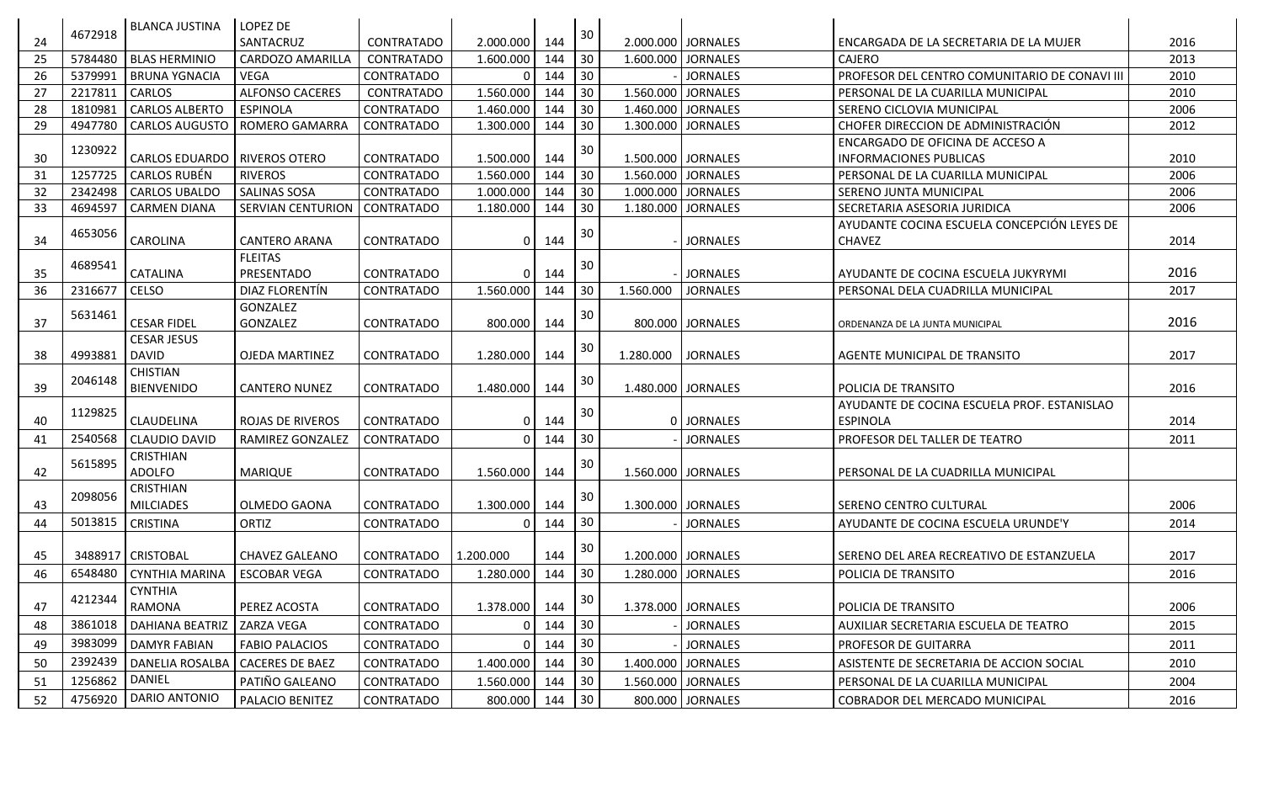|    | 4672918 | <b>BLANCA JUSTINA</b>          | <b>LOPEZ DE</b>          |                   |               |        | 30                             |                    |                  |                                               |      |
|----|---------|--------------------------------|--------------------------|-------------------|---------------|--------|--------------------------------|--------------------|------------------|-----------------------------------------------|------|
| 24 |         |                                | SANTACRUZ                | CONTRATADO        | 2.000.000     | 144    |                                | 2.000.000 JORNALES |                  | ENCARGADA DE LA SECRETARIA DE LA MUJER        | 2016 |
| 25 | 5784480 | <b>BLAS HERMINIO</b>           | CARDOZO AMARILLA         | <b>CONTRATADO</b> | 1.600.000     | 144    | 30                             | 1.600.000 JORNALES |                  | <b>CAJERO</b>                                 | 2013 |
| 26 | 5379991 | <b>BRUNA YGNACIA</b>           | <b>VEGA</b>              | <b>CONTRATADO</b> |               | 144    | 30                             |                    | <b>JORNALES</b>  | PROFESOR DEL CENTRO COMUNITARIO DE CONAVI III | 2010 |
| 27 | 2217811 | <b>CARLOS</b>                  | <b>ALFONSO CACERES</b>   | CONTRATADO        | 1.560.000     | 144    | 30                             | 1.560.000 JORNALES |                  | PERSONAL DE LA CUARILLA MUNICIPAL             | 2010 |
| 28 | 1810981 | <b>CARLOS ALBERTO</b>          | <b>ESPINOLA</b>          | <b>CONTRATADO</b> | 1.460.000     | 144    | 30                             | 1.460.000 JORNALES |                  | SERENO CICLOVIA MUNICIPAL                     | 2006 |
| 29 | 4947780 | <b>CARLOS AUGUSTO</b>          | <b>ROMERO GAMARRA</b>    | <b>CONTRATADO</b> | 1.300.000     | 144    | $ 30\rangle$                   | 1.300.000 JORNALES |                  | CHOFER DIRECCION DE ADMINISTRACIÓN            | 2012 |
|    | 1230922 |                                |                          |                   |               |        | 30                             |                    |                  | ENCARGADO DE OFICINA DE ACCESO A              |      |
| 30 |         | CARLOS EDUARDO   RIVEROS OTERO |                          | CONTRATADO        | 1.500.000     | 144    |                                | 1.500.000 JORNALES |                  | <b>INFORMACIONES PUBLICAS</b>                 | 2010 |
| 31 | 1257725 | <b>CARLOS RUBÉN</b>            | <b>RIVEROS</b>           | <b>CONTRATADO</b> | 1.560.000     | 144    | 30                             | 1.560.000 JORNALES |                  | PERSONAL DE LA CUARILLA MUNICIPAL             | 2006 |
| 32 | 2342498 | <b>CARLOS UBALDO</b>           | <b>SALINAS SOSA</b>      | CONTRATADO        | 1.000.000     | 144    | 30                             | 1.000.000 JORNALES |                  | SERENO JUNTA MUNICIPAL                        | 2006 |
| 33 | 4694597 | <b>CARMEN DIANA</b>            | <b>SERVIAN CENTURION</b> | <b>CONTRATADO</b> | 1.180.000     | 144    | $ 30\rangle$                   | 1.180.000 JORNALES |                  | SECRETARIA ASESORIA JURIDICA                  | 2006 |
|    | 4653056 |                                |                          |                   |               |        | 30                             |                    |                  | AYUDANTE COCINA ESCUELA CONCEPCIÓN LEYES DE   |      |
| 34 |         | CAROLINA                       | <b>CANTERO ARANA</b>     | <b>CONTRATADO</b> | $\Omega$      | 144    |                                |                    | <b>JORNALES</b>  | <b>CHAVEZ</b>                                 | 2014 |
|    | 4689541 |                                | <b>FLEITAS</b>           |                   |               |        | 30                             |                    |                  |                                               |      |
| 35 |         | <b>CATALINA</b>                | PRESENTADO               | <b>CONTRATADO</b> |               | 144    |                                |                    | <b>JORNALES</b>  | AYUDANTE DE COCINA ESCUELA JUKYRYMI           | 2016 |
| 36 | 2316677 | CELSO                          | DIAZ FLORENTÍN           | <b>CONTRATADO</b> | 1.560.000     | 144    | $\begin{array}{c} \end{array}$ | 1.560.000          | <b>JORNALES</b>  | PERSONAL DELA CUADRILLA MUNICIPAL             | 2017 |
|    | 5631461 |                                | GONZALEZ                 |                   |               |        | 30                             |                    |                  |                                               |      |
| 37 |         | <b>CESAR FIDEL</b>             | GONZALEZ                 | <b>CONTRATADO</b> | 800.000       | 144    |                                |                    | 800.000 JORNALES | ORDENANZA DE LA JUNTA MUNICIPAL               | 2016 |
|    |         | <b>CESAR JESUS</b>             |                          |                   |               |        | 30                             |                    |                  |                                               |      |
| 38 | 4993881 | <b>DAVID</b>                   | OJEDA MARTINEZ           | <b>CONTRATADO</b> | 1.280.000     | 144    |                                | 1.280.000          | <b>JORNALES</b>  | AGENTE MUNICIPAL DE TRANSITO                  | 2017 |
|    | 2046148 | <b>CHISTIAN</b>                |                          |                   |               |        | 30                             |                    |                  |                                               |      |
| 39 |         | <b>BIENVENIDO</b>              | <b>CANTERO NUNEZ</b>     | <b>CONTRATADO</b> | 1.480.000     | 144    |                                | 1.480.000 JORNALES |                  | POLICIA DE TRANSITO                           | 2016 |
|    | 1129825 |                                |                          |                   |               |        | 30                             |                    |                  | AYUDANTE DE COCINA ESCUELA PROF. ESTANISLAO   |      |
| 40 |         | <b>CLAUDELINA</b>              | <b>ROJAS DE RIVEROS</b>  | <b>CONTRATADO</b> |               | 144    |                                |                    | 0 JORNALES       | <b>ESPINOLA</b>                               | 2014 |
| 41 | 2540568 | <b>CLAUDIO DAVID</b>           | RAMIREZ GONZALEZ         | <b>CONTRATADO</b> |               | 144    | 30                             |                    | <b>JORNALES</b>  | PROFESOR DEL TALLER DE TEATRO                 | 2011 |
|    | 5615895 | <b>CRISTHIAN</b>               |                          |                   |               |        | 30                             |                    |                  |                                               |      |
| 42 |         | ADOLFO                         | <b>MARIQUE</b>           | <b>CONTRATADO</b> | 1.560.000     | 144    |                                | 1.560.000 JORNALES |                  | PERSONAL DE LA CUADRILLA MUNICIPAL            |      |
|    | 2098056 | <b>CRISTHIAN</b>               |                          |                   |               |        | 30                             |                    |                  |                                               |      |
| 43 |         | <b>MILCIADES</b>               | OLMEDO GAONA             | <b>CONTRATADO</b> | 1.300.000     | 144    |                                | 1.300.000 JORNALES |                  | SERENO CENTRO CULTURAL                        | 2006 |
| 44 | 5013815 | <b>CRISTINA</b>                | ORTIZ                    | <b>CONTRATADO</b> |               | 144    | 30                             |                    | <b>JORNALES</b>  | AYUDANTE DE COCINA ESCUELA URUNDE'Y           | 2014 |
|    |         |                                |                          |                   |               |        | 30                             |                    |                  |                                               |      |
| 45 |         | 3488917 CRISTOBAL              | <b>CHAVEZ GALEANO</b>    | CONTRATADO        | 1.200.000     | 144    |                                | 1.200.000 JORNALES |                  | SERENO DEL AREA RECREATIVO DE ESTANZUELA      | 2017 |
| 46 | 6548480 | <b>CYNTHIA MARINA</b>          | <b>ESCOBAR VEGA</b>      | <b>CONTRATADO</b> | 1.280.000     | 144    | 30                             | 1.280.000 JORNALES |                  | POLICIA DE TRANSITO                           | 2016 |
|    | 4212344 | <b>CYNTHIA</b>                 |                          |                   |               |        |                                |                    |                  |                                               |      |
| 47 |         | RAMONA                         | PEREZ ACOSTA             | CONTRATADO        | 1.378.000 144 |        | $ 30\rangle$                   | 1.378.000 JORNALES |                  | POLICIA DE TRANSITO                           | 2006 |
| 48 | 3861018 | DAHIANA BEATRIZ                | <b>ZARZA VEGA</b>        | CONTRATADO        | $\Omega$      | 144 30 |                                |                    | <b>JORNALES</b>  | AUXILIAR SECRETARIA ESCUELA DE TEATRO         | 2015 |
| 49 | 3983099 | <b>DAMYR FABIAN</b>            | <b>FABIO PALACIOS</b>    | CONTRATADO        | $\Omega$      | 144 30 |                                |                    | <b>JORNALES</b>  | PROFESOR DE GUITARRA                          | 2011 |
| 50 | 2392439 | DANELIA ROSALBA                | <b>CACERES DE BAEZ</b>   | CONTRATADO        | 1.400.000     | 144 30 |                                | 1.400.000 JORNALES |                  | ASISTENTE DE SECRETARIA DE ACCION SOCIAL      | 2010 |
| 51 | 1256862 | DANIEL                         | PATIÑO GALEANO           | CONTRATADO        | 1.560.000     | 144    | 30                             | 1.560.000 JORNALES |                  | PERSONAL DE LA CUARILLA MUNICIPAL             | 2004 |
| 52 | 4756920 | DARIO ANTONIO                  | PALACIO BENITEZ          | CONTRATADO        | 800.000       | 144 30 |                                |                    | 800.000 JORNALES | COBRADOR DEL MERCADO MUNICIPAL                | 2016 |
|    |         |                                |                          |                   |               |        |                                |                    |                  |                                               |      |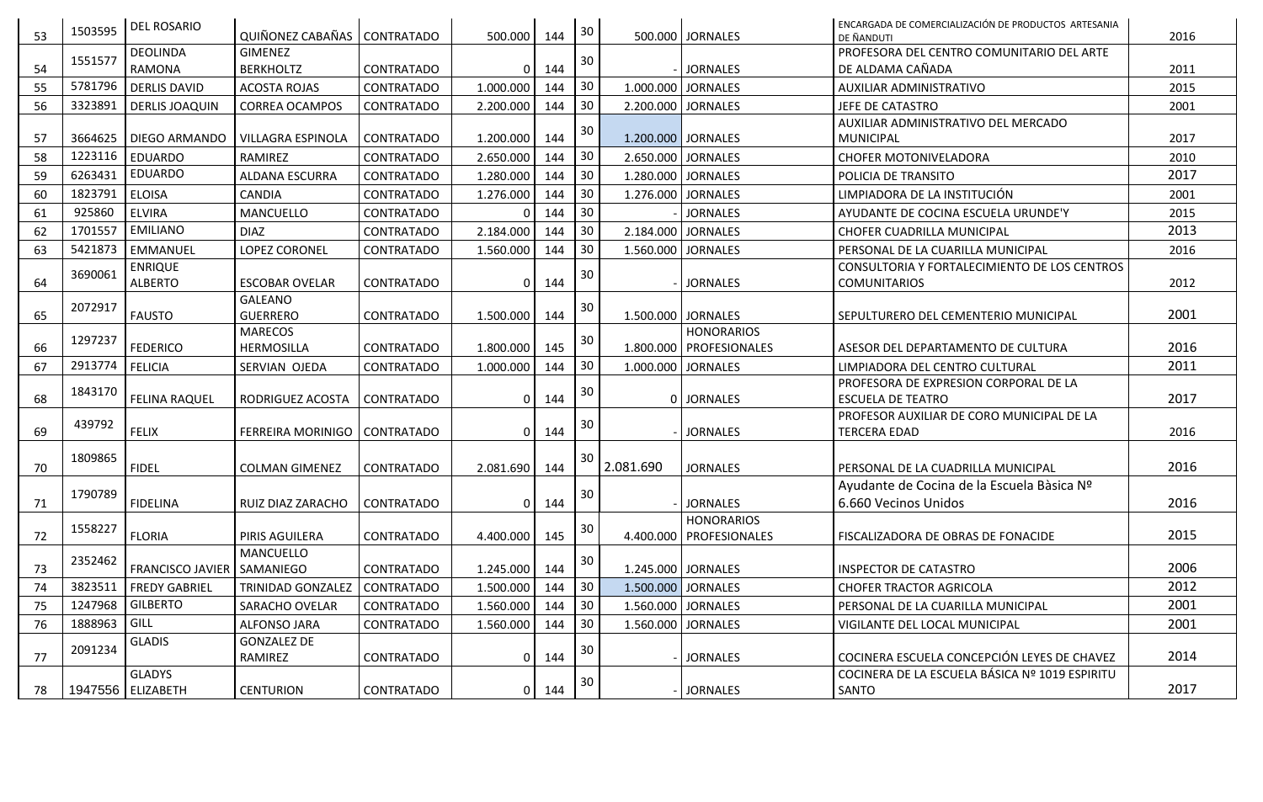| 53 | 1503595 | DEL ROSARIO             | QUIÑONEZ CABAÑAS              | CONTRATADO        | 500.000     | 144           | 30 |                    | 500.000 JORNALES                               | ENCARGADA DE COMERCIALIZACIÓN DE PRODUCTOS ARTESANIA<br>DE ÑANDUTI | 2016         |
|----|---------|-------------------------|-------------------------------|-------------------|-------------|---------------|----|--------------------|------------------------------------------------|--------------------------------------------------------------------|--------------|
|    |         | <b>DEOLINDA</b>         | <b>GIMENEZ</b>                |                   |             |               |    |                    |                                                | PROFESORA DEL CENTRO COMUNITARIO DEL ARTE                          |              |
| 54 | 1551577 | RAMONA                  | <b>BERKHOLTZ</b>              | CONTRATADO        | $\Omega$    | 144           | 30 |                    | <b>JORNALES</b>                                | DE ALDAMA CAÑADA                                                   | 2011         |
| 55 | 5781796 | <b>DERLIS DAVID</b>     | <b>ACOSTA ROJAS</b>           | <b>CONTRATADO</b> | 1.000.000   | 144           | 30 | 1.000.000          | <b>JORNALES</b>                                | AUXILIAR ADMINISTRATIVO                                            | 2015         |
| 56 | 3323891 | <b>DERLIS JOAQUIN</b>   | <b>CORREA OCAMPOS</b>         | CONTRATADO        | 2.200.000   | 144           | 30 | 2.200.000          | <b>JORNALES</b>                                | JEFE DE CATASTRO                                                   | 2001         |
|    |         |                         |                               |                   |             |               | 30 |                    |                                                | AUXILIAR ADMINISTRATIVO DEL MERCADO                                |              |
| 57 | 3664625 | DIEGO ARMANDO           | <b>VILLAGRA ESPINOLA</b>      | <b>CONTRATADO</b> | 1.200.000   | 144           |    | 1.200.000 JORNALES |                                                | <b>MUNICIPAL</b>                                                   | 2017         |
| 58 | 1223116 | <b>EDUARDO</b>          | RAMIREZ                       | CONTRATADO        | 2.650.000   | 144           | 30 |                    | 2.650.000 JORNALES                             | <b>CHOFER MOTONIVELADORA</b>                                       | 2010         |
| 59 | 6263431 | <b>EDUARDO</b>          | ALDANA ESCURRA                | CONTRATADO        | 1.280.000   | 144           | 30 | 1.280.000 JORNALES |                                                | POLICIA DE TRANSITO                                                | 2017         |
| 60 | 1823791 | <b>ELOISA</b>           | <b>CANDIA</b>                 | CONTRATADO        | 1.276.000   | 144           | 30 |                    | 1.276.000 JORNALES                             | LIMPIADORA DE LA INSTITUCIÓN                                       | 2001         |
| 61 | 925860  | <b>ELVIRA</b>           | MANCUELLO                     | <b>CONTRATADO</b> |             | 144           | 30 |                    | <b>JORNALES</b>                                | AYUDANTE DE COCINA ESCUELA URUNDE'Y                                | 2015         |
| 62 | 1701557 | <b>EMILIANO</b>         | <b>DIAZ</b>                   | CONTRATADO        | 2.184.000   | 144           | 30 | 2.184.000          | <b>JORNALES</b>                                | <b>CHOFER CUADRILLA MUNICIPAL</b>                                  | 2013         |
| 63 | 5421873 | EMMANUEL                | <b>LOPEZ CORONEL</b>          | <b>CONTRATADO</b> | 1.560.000   | 144           | 30 | 1.560.000          | <b>JORNALES</b>                                | PERSONAL DE LA CUARILLA MUNICIPAL                                  | 2016         |
|    | 3690061 | <b>ENRIQUE</b>          |                               |                   |             |               | 30 |                    |                                                | CONSULTORIA Y FORTALECIMIENTO DE LOS CENTROS                       |              |
| 64 |         | <b>ALBERTO</b>          | <b>ESCOBAR OVELAR</b>         | CONTRATADO        | $\mathbf 0$ | 144           |    |                    | <b>JORNALES</b>                                | <b>COMUNITARIOS</b>                                                | 2012         |
|    | 2072917 |                         | GALEANO                       |                   |             |               | 30 |                    |                                                |                                                                    |              |
| 65 |         | <b>FAUSTO</b>           | <b>GUERRERO</b>               | <b>CONTRATADO</b> | 1.500.000   | 144           |    | 1.500.000 JORNALES |                                                | SEPULTURERO DEL CEMENTERIO MUNICIPAL                               | 2001         |
| 66 | 1297237 | <b>FEDERICO</b>         | <b>MARECOS</b><br>HERMOSILLA  | <b>CONTRATADO</b> | 1.800.000   | 145           | 30 |                    | <b>HONORARIOS</b><br>1.800.000   PROFESIONALES | ASESOR DEL DEPARTAMENTO DE CULTURA                                 | 2016         |
| 67 | 2913774 | <b>FELICIA</b>          | SERVIAN OJEDA                 | CONTRATADO        | 1.000.000   | 144           | 30 | 1.000.000 JORNALES |                                                | LIMPIADORA DEL CENTRO CULTURAL                                     | 2011         |
|    |         |                         |                               |                   |             |               |    |                    |                                                | PROFESORA DE EXPRESION CORPORAL DE LA                              |              |
| 68 | 1843170 | <b>FELINA RAQUEL</b>    | RODRIGUEZ ACOSTA              | <b>CONTRATADO</b> | $\mathbf 0$ | 144           | 30 |                    | 0 JORNALES                                     | <b>ESCUELA DE TEATRO</b>                                           | 2017         |
|    |         |                         |                               |                   |             |               |    |                    |                                                | PROFESOR AUXILIAR DE CORO MUNICIPAL DE LA                          |              |
| 69 | 439792  | <b>FELIX</b>            | FERREIRA MORINIGO             | <b>CONTRATADO</b> | $\mathbf 0$ | 144           | 30 |                    | <b>JORNALES</b>                                | <b>TERCERA EDAD</b>                                                | 2016         |
|    | 1809865 |                         |                               |                   |             |               | 30 |                    |                                                |                                                                    |              |
| 70 |         | <b>FIDEL</b>            | <b>COLMAN GIMENEZ</b>         | <b>CONTRATADO</b> | 2.081.690   | 144           |    | 2.081.690          | <b>JORNALES</b>                                | PERSONAL DE LA CUADRILLA MUNICIPAL                                 | 2016         |
|    | 1790789 |                         |                               |                   |             |               | 30 |                    |                                                | Ayudante de Cocina de la Escuela Bàsica Nº                         |              |
| 71 |         | <b>FIDELINA</b>         | RUIZ DIAZ ZARACHO             | <b>CONTRATADO</b> | $\mathbf 0$ | 144           |    |                    | <b>JORNALES</b>                                | 6.660 Vecinos Unidos                                               | 2016         |
|    | 1558227 |                         |                               |                   |             |               | 30 |                    | <b>HONORARIOS</b>                              |                                                                    |              |
| 72 |         | <b>FLORIA</b>           | PIRIS AGUILERA                | <b>CONTRATADO</b> | 4.400.000   | 145           |    |                    | 4.400.000   PROFESIONALES                      | FISCALIZADORA DE OBRAS DE FONACIDE                                 | 2015         |
|    | 2352462 |                         | <b>MANCUELLO</b>              |                   |             |               | 30 |                    |                                                |                                                                    |              |
| 73 |         | <b>FRANCISCO JAVIER</b> | SAMANIEGO                     | CONTRATADO        | 1.245.000   | 144           | 30 |                    | 1.245.000 JORNALES                             | <b>INSPECTOR DE CATASTRO</b>                                       | 2006<br>2012 |
| 74 | 3823511 | <b>FREDY GABRIEL</b>    | <b>TRINIDAD GONZALEZ</b>      | <b>CONTRATADO</b> | 1.500.000   | 144           |    | 1.500.000          | <b>JORNALES</b>                                | <b>CHOFER TRACTOR AGRICOLA</b>                                     |              |
| 75 | 1247968 | <b>GILBERTO</b>         | SARACHO OVELAR                | <b>CONTRATADO</b> | 1.560.000   | 144           | 30 | 1.560.000          | <b>JORNALES</b>                                | PERSONAL DE LA CUARILLA MUNICIPAL                                  | 2001         |
| 76 | 1888963 | GILL                    | <b>ALFONSO JARA</b>           | <b>CONTRATADO</b> | 1.560.000   | 144           | 30 | 1.560.000          | <b>JORNALES</b>                                | VIGILANTE DEL LOCAL MUNICIPAL                                      | 2001         |
| 77 | 2091234 | <b>GLADIS</b>           | <b>GONZALEZ DE</b><br>RAMIREZ | <b>CONTRATADO</b> | $\mathbf 0$ | 144           | 30 |                    | <b>JORNALES</b>                                | COCINERA ESCUELA CONCEPCIÓN LEYES DE CHAVEZ                        | 2014         |
|    |         | <b>GLADYS</b>           |                               |                   |             |               |    |                    |                                                | COCINERA DE LA ESCUELA BÁSICA Nº 1019 ESPIRITU                     |              |
| 78 |         | 1947556 ELIZABETH       | <b>CENTURION</b>              | CONTRATADO        |             | $0 \quad 144$ | 30 |                    | <b>JORNALES</b>                                | SANTO                                                              | 2017         |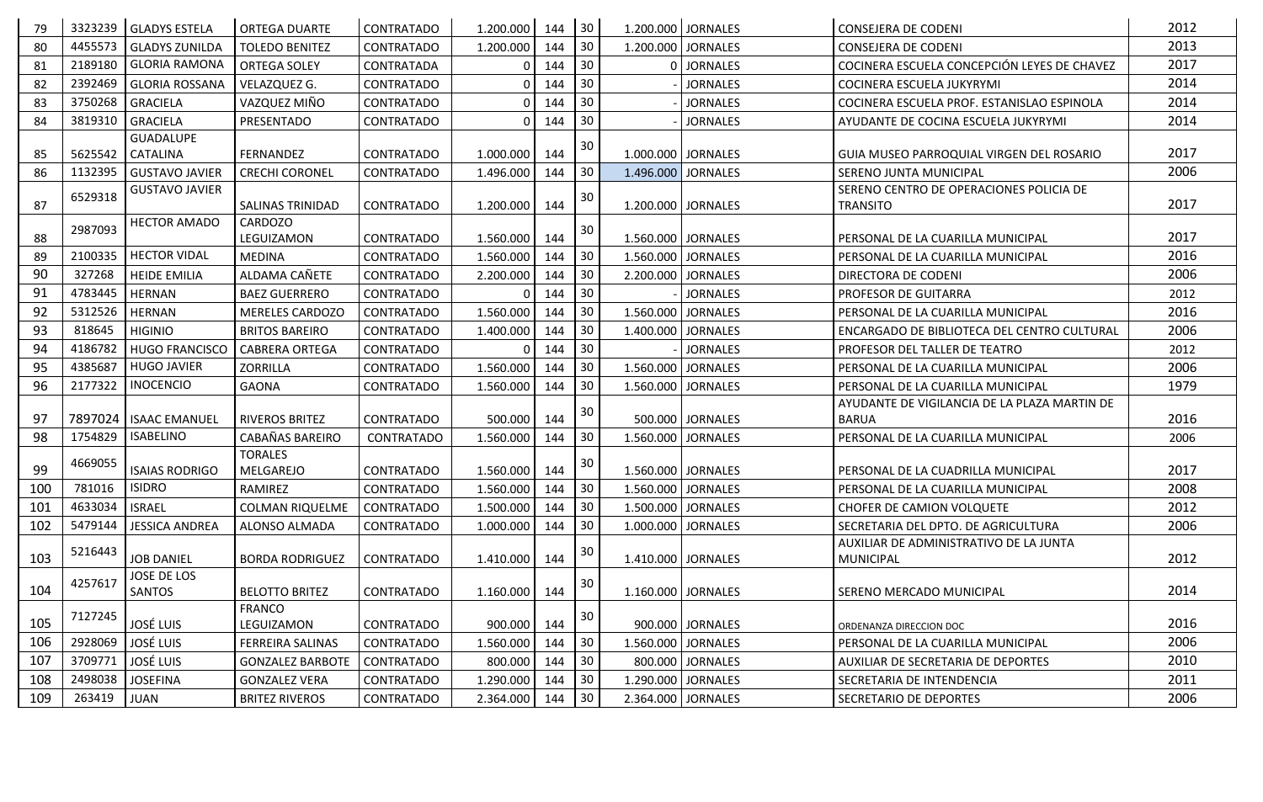| 79  |         | 3323239 GLADYS ESTELA   | ORTEGA DUARTE           | <b>CONTRATADO</b> | 1.200.000      | 144 | 30 |                      | 1.200.000 JORNALES | <b>CONSEJERA DE CODENI</b>                                   | 2012 |
|-----|---------|-------------------------|-------------------------|-------------------|----------------|-----|----|----------------------|--------------------|--------------------------------------------------------------|------|
| 80  | 4455573 | <b>GLADYS ZUNILDA</b>   | <b>TOLEDO BENITEZ</b>   | CONTRATADO        | 1.200.000      | 144 | 30 |                      | 1.200.000 JORNALES | CONSEJERA DE CODENI                                          | 2013 |
| 81  | 2189180 | <b>GLORIA RAMONA</b>    | ORTEGA SOLEY            | CONTRATADA        | $\Omega$       | 144 | 30 |                      | 0 JORNALES         | COCINERA ESCUELA CONCEPCIÓN LEYES DE CHAVEZ                  | 2017 |
| 82  | 2392469 | <b>GLORIA ROSSANA</b>   | VELAZQUEZ G.            | CONTRATADO        |                | 144 | 30 |                      | <b>JORNALES</b>    | COCINERA ESCUELA JUKYRYMI                                    | 2014 |
| 83  | 3750268 | <b>GRACIELA</b>         | VAZQUEZ MIÑO            | CONTRATADO        | $\Omega$       | 144 | 30 |                      | <b>JORNALES</b>    | COCINERA ESCUELA PROF. ESTANISLAO ESPINOLA                   | 2014 |
| 84  | 3819310 | <b>GRACIELA</b>         | PRESENTADO              | <b>CONTRATADO</b> | 0              | 144 | 30 |                      | <b>JORNALES</b>    | AYUDANTE DE COCINA ESCUELA JUKYRYMI                          | 2014 |
|     |         | <b>GUADALUPE</b>        |                         |                   |                |     | 30 |                      |                    |                                                              |      |
| 85  | 5625542 | <b>CATALINA</b>         | <b>FERNANDEZ</b>        | <b>CONTRATADO</b> | 1.000.000      | 144 |    | 1.000.000 JORNALES   |                    | GUIA MUSEO PARROQUIAL VIRGEN DEL ROSARIO                     | 2017 |
| 86  | 1132395 | <b>GUSTAVO JAVIER</b>   | <b>CRECHI CORONEL</b>   | CONTRATADO        | 1.496.000      | 144 | 30 |                      | 1.496.000 JORNALES | SERENO JUNTA MUNICIPAL                                       | 2006 |
| 87  | 6529318 | <b>GUSTAVO JAVIER</b>   | <b>SALINAS TRINIDAD</b> | CONTRATADO        | 1.200.000      | 144 | 30 | 1.200.000 JORNALES   |                    | SERENO CENTRO DE OPERACIONES POLICIA DE<br><b>TRANSITO</b>   | 2017 |
|     |         | <b>HECTOR AMADO</b>     | CARDOZO                 |                   |                |     |    |                      |                    |                                                              |      |
| 88  | 2987093 |                         | LEGUIZAMON              | CONTRATADO        | 1.560.000      | 144 | 30 | 1.560.000 JORNALES   |                    | PERSONAL DE LA CUARILLA MUNICIPAL                            | 2017 |
| 89  | 2100335 | <b>HECTOR VIDAL</b>     | <b>MEDINA</b>           | CONTRATADO        | 1.560.000      | 144 | 30 | 1.560.000            | <b>JORNALES</b>    | PERSONAL DE LA CUARILLA MUNICIPAL                            | 2016 |
| 90  | 327268  | <b>HEIDE EMILIA</b>     | ALDAMA CAÑETE           | CONTRATADO        | 2.200.000      | 144 | 30 | 2.200.000            | <b>JORNALES</b>    | DIRECTORA DE CODENI                                          | 2006 |
| 91  | 4783445 | <b>HERNAN</b>           | <b>BAEZ GUERRERO</b>    | CONTRATADO        | 0 <sub>1</sub> | 144 | 30 |                      | <b>JORNALES</b>    | PROFESOR DE GUITARRA                                         | 2012 |
| 92  | 5312526 | <b>HERNAN</b>           | <b>MERELES CARDOZO</b>  | <b>CONTRATADO</b> | 1.560.000      | 144 | 30 | 1.560.000            | <b>JORNALES</b>    | PERSONAL DE LA CUARILLA MUNICIPAL                            | 2016 |
| 93  | 818645  | <b>HIGINIO</b>          | <b>BRITOS BAREIRO</b>   | CONTRATADO        | 1.400.000      | 144 | 30 | 1.400.000            | <b>JORNALES</b>    | ENCARGADO DE BIBLIOTECA DEL CENTRO CULTURAL                  | 2006 |
| 94  | 4186782 | <b>HUGO FRANCISCO</b>   | <b>CABRERA ORTEGA</b>   | <b>CONTRATADO</b> | 0              | 144 | 30 |                      | <b>JORNALES</b>    | PROFESOR DEL TALLER DE TEATRO                                | 2012 |
| 95  | 4385687 | <b>HUGO JAVIER</b>      | ZORRILLA                | CONTRATADO        | 1.560.000      | 144 | 30 | 1.560.000   JORNALES |                    | PERSONAL DE LA CUARILLA MUNICIPAL                            | 2006 |
| 96  | 2177322 | <b>INOCENCIO</b>        | <b>GAONA</b>            | CONTRATADO        | 1.560.000      | 144 | 30 | 1.560.000            | <b>JORNALES</b>    | PERSONAL DE LA CUARILLA MUNICIPAL                            | 1979 |
| 97  |         | 7897024   ISAAC EMANUEL | <b>RIVEROS BRITEZ</b>   | <b>CONTRATADO</b> | 500.000 144    |     | 30 |                      | 500.000 JORNALES   | AYUDANTE DE VIGILANCIA DE LA PLAZA MARTIN DE<br><b>BARUA</b> | 2016 |
| 98  | 1754829 | <b>ISABELINO</b>        | <b>CABAÑAS BAREIRO</b>  | <b>CONTRATADO</b> | 1.560.000      | 144 | 30 | 1.560.000            | <b>JORNALES</b>    | PERSONAL DE LA CUARILLA MUNICIPAL                            | 2006 |
|     |         |                         | <b>TORALES</b>          |                   |                |     |    |                      |                    |                                                              |      |
| 99  | 4669055 | <b>ISAIAS RODRIGO</b>   | MELGAREJO               | CONTRATADO        | 1.560.000 144  |     | 30 | 1.560.000   JORNALES |                    | PERSONAL DE LA CUADRILLA MUNICIPAL                           | 2017 |
| 100 | 781016  | <b>ISIDRO</b>           | RAMIREZ                 | CONTRATADO        | 1.560.000      | 144 | 30 | 1.560.000            | <b>JORNALES</b>    | PERSONAL DE LA CUARILLA MUNICIPAL                            | 2008 |
| 101 | 4633034 | <b>ISRAEL</b>           | <b>COLMAN RIQUELME</b>  | CONTRATADO        | 1.500.000      | 144 | 30 | 1.500.000            | <b>JORNALES</b>    | <b>CHOFER DE CAMION VOLQUETE</b>                             | 2012 |
| 102 | 5479144 | <b>JESSICA ANDREA</b>   | ALONSO ALMADA           | CONTRATADO        | 1.000.000      | 144 | 30 | 1.000.000            | <b>JORNALES</b>    | SECRETARIA DEL DPTO. DE AGRICULTURA                          | 2006 |
| 103 | 5216443 | <b>JOB DANIEL</b>       | <b>BORDA RODRIGUEZ</b>  | <b>CONTRATADO</b> | 1.410.000      | 144 | 30 | 1.410.000 JORNALES   |                    | AUXILIAR DE ADMINISTRATIVO DE LA JUNTA<br><b>MUNICIPAL</b>   | 2012 |
| 104 | 4257617 | JOSE DE LOS<br>SANTOS   | <b>BELOTTO BRITEZ</b>   | CONTRATADO        | 1.160.000 144  |     | 30 | 1.160.000 JORNALES   |                    | <b>SERENO MERCADO MUNICIPAL</b>                              | 2014 |
| 105 | 7127245 | <b>JOSÉ LUIS</b>        | FRANCO<br>LEGUIZAMON    | <b>CONTRATADO</b> | 900.000 144    |     | 30 |                      | 900.000 JORNALES   | ORDENANZA DIRECCION DOC                                      | 2016 |
| 106 | 2928069 | JOSÉ LUIS               | <b>FERREIRA SALINAS</b> | <b>CONTRATADO</b> | 1.560.000      | 144 | 30 |                      | 1.560.000 JORNALES | PERSONAL DE LA CUARILLA MUNICIPAL                            | 2006 |
| 107 | 3709771 | JOSÉ LUIS               | <b>GONZALEZ BARBOTE</b> | <b>CONTRATADO</b> | 800.000        | 144 | 30 |                      | 800.000 JORNALES   | AUXILIAR DE SECRETARIA DE DEPORTES                           | 2010 |
| 108 | 2498038 | <b>JOSEFINA</b>         | <b>GONZALEZ VERA</b>    | CONTRATADO        | 1.290.000      | 144 | 30 |                      | 1.290.000 JORNALES | SECRETARIA DE INTENDENCIA                                    | 2011 |
| 109 | 263419  | <b>JUAN</b>             | <b>BRITEZ RIVEROS</b>   | CONTRATADO        | 2.364.000      | 144 | 30 |                      | 2.364.000 JORNALES | <b>SECRETARIO DE DEPORTES</b>                                | 2006 |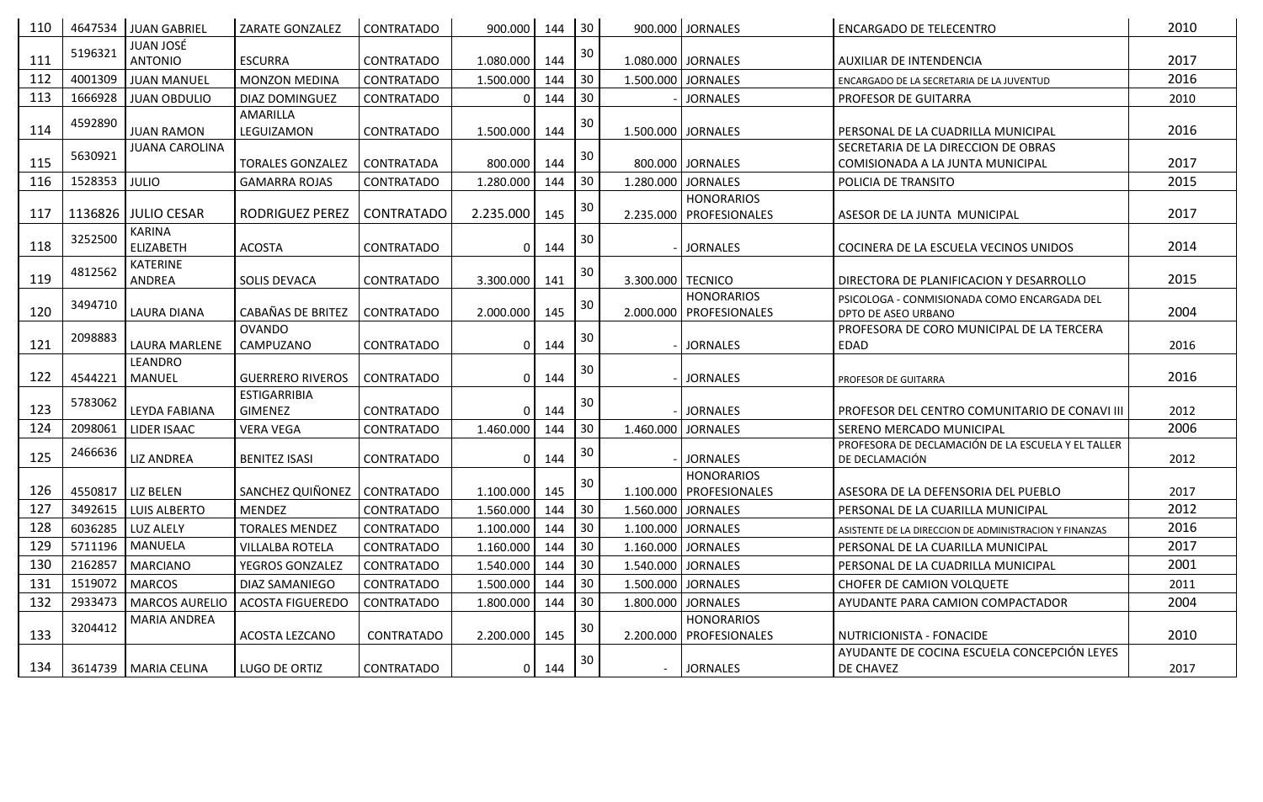| 110 |         | 4647534 JUAN GABRIEL              | ZARATE GONZALEZ                                | CONTRATADO        | 900.000        | 144     | 30     |                    | 900.000 JORNALES                          | <b>ENCARGADO DE TELECENTRO</b>                         | 2010 |
|-----|---------|-----------------------------------|------------------------------------------------|-------------------|----------------|---------|--------|--------------------|-------------------------------------------|--------------------------------------------------------|------|
|     | 5196321 | JUAN JOSÉ                         |                                                |                   |                |         | 30     |                    |                                           |                                                        |      |
| 111 |         | <b>ANTONIO</b>                    | <b>ESCURRA</b>                                 | <b>CONTRATADO</b> | 1.080.000      | 144     |        |                    | 1.080.000 JORNALES                        | AUXILIAR DE INTENDENCIA                                | 2017 |
| 112 | 4001309 | <b>JUAN MANUEL</b>                | <b>MONZON MEDINA</b>                           | <b>CONTRATADO</b> | 1.500.000      | 144     | 30     | 1.500.000          | <b>JORNALES</b>                           | ENCARGADO DE LA SECRETARIA DE LA JUVENTUD              | 2016 |
| 113 | 1666928 | <b>JUAN OBDULIO</b>               | DIAZ DOMINGUEZ                                 | CONTRATADO        | $\Omega$       | 144     | 30     |                    | <b>JORNALES</b>                           | PROFESOR DE GUITARRA                                   | 2010 |
| 114 | 4592890 | <b>JUAN RAMON</b>                 | AMARILLA<br>LEGUIZAMON                         | <b>CONTRATADO</b> | 1.500.000      | 144     | 30     | 1.500.000 JORNALES |                                           | PERSONAL DE LA CUADRILLA MUNICIPAL                     | 2016 |
|     |         | <b>JUANA CAROLINA</b>             |                                                |                   |                |         |        |                    |                                           | SECRETARIA DE LA DIRECCION DE OBRAS                    |      |
| 115 | 5630921 |                                   | <b>TORALES GONZALEZ</b>                        | CONTRATADA        | 800.000        | 144     | $30\,$ |                    | 800.000 JORNALES                          | COMISIONADA A LA JUNTA MUNICIPAL                       | 2017 |
| 116 | 1528353 | <b>JULIO</b>                      | <b>GAMARRA ROJAS</b>                           | <b>CONTRATADO</b> | 1.280.000      | 144     | 30     | 1.280.000          | <b>JORNALES</b>                           | POLICIA DE TRANSITO                                    | 2015 |
|     |         |                                   |                                                |                   |                |         | 30     |                    | <b>HONORARIOS</b>                         |                                                        |      |
| 117 |         | 1136826 JULIO CESAR               | RODRIGUEZ PEREZ                                | CONTRATADO        | 2.235.000      | 145     |        |                    | 2.235.000 PROFESIONALES                   | ASESOR DE LA JUNTA MUNICIPAL                           | 2017 |
| 118 | 3252500 | <b>KARINA</b><br><b>ELIZABETH</b> | <b>ACOSTA</b>                                  | CONTRATADO        | $\overline{0}$ | 144     | 30     |                    | <b>JORNALES</b>                           | COCINERA DE LA ESCUELA VECINOS UNIDOS                  | 2014 |
|     |         | <b>KATERINE</b>                   |                                                |                   |                |         |        |                    |                                           |                                                        |      |
| 119 | 4812562 | ANDREA                            | <b>SOLIS DEVACA</b>                            | CONTRATADO        | 3.300.000      | 141     | 30     | 3.300.000 TECNICO  |                                           | DIRECTORA DE PLANIFICACION Y DESARROLLO                | 2015 |
|     |         |                                   |                                                |                   |                |         |        |                    | <b>HONORARIOS</b>                         | PSICOLOGA - CONMISIONADA COMO ENCARGADA DEL            |      |
| 120 | 3494710 | <b>LAURA DIANA</b>                | CABAÑAS DE BRITEZ                              | <b>CONTRATADO</b> | 2.000.000      | 145     | 30     |                    | 2.000.000   PROFESIONALES                 | DPTO DE ASEO URBANO                                    | 2004 |
|     | 2098883 |                                   | <b>OVANDO</b>                                  |                   |                |         | 30     |                    |                                           | PROFESORA DE CORO MUNICIPAL DE LA TERCERA              |      |
| 121 |         | LAURA MARLENE                     | CAMPUZANO                                      | CONTRATADO        | $\overline{0}$ | 144     |        |                    | JORNALES                                  | EDAD                                                   | 2016 |
|     |         | LEANDRO                           |                                                |                   |                |         | 30     |                    |                                           |                                                        |      |
| 122 | 4544221 | MANUEL                            | <b>GUERRERO RIVEROS</b><br><b>ESTIGARRIBIA</b> | CONTRATADO        | $\overline{0}$ | 144     |        |                    | <b>JORNALES</b>                           | PROFESOR DE GUITARRA                                   | 2016 |
| 123 | 5783062 | LEYDA FABIANA                     | GIMENEZ                                        | <b>CONTRATADO</b> | $\mathbf 0$    | 144     | 30     |                    | <b>JORNALES</b>                           | PROFESOR DEL CENTRO COMUNITARIO DE CONAVI III          | 2012 |
| 124 | 2098061 | LIDER ISAAC                       | <b>VERA VEGA</b>                               | CONTRATADO        | 1.460.000      | 144     | 30     | 1.460.000          | <b>JORNALES</b>                           | SERENO MERCADO MUNICIPAL                               | 2006 |
|     |         |                                   |                                                |                   |                |         |        |                    |                                           | PROFESORA DE DECLAMACIÓN DE LA ESCUELA Y EL TALLER     |      |
| 125 | 2466636 | <b>LIZ ANDREA</b>                 | <b>BENITEZ ISASI</b>                           | CONTRATADO        | $\overline{0}$ | 144     | 30     |                    | <b>JORNALES</b>                           | DE DECLAMACIÓN                                         | 2012 |
|     |         |                                   |                                                |                   |                |         | 30     |                    | <b>HONORARIOS</b>                         |                                                        |      |
| 126 | 4550817 | <b>LIZ BELEN</b>                  | SANCHEZ QUIÑONEZ                               | CONTRATADO        | 1.100.000      | 145     |        |                    | 1.100.000 PROFESIONALES                   | ASESORA DE LA DEFENSORIA DEL PUEBLO                    | 2017 |
| 127 | 3492615 | LUIS ALBERTO                      | MENDEZ                                         | CONTRATADO        | 1.560.000      | 144     | 30     | 1.560.000          | <b>JORNALES</b>                           | PERSONAL DE LA CUARILLA MUNICIPAL                      | 2012 |
| 128 | 6036285 | LUZ ALELY                         | <b>TORALES MENDEZ</b>                          | CONTRATADO        | 1.100.000      | 144     | 30     | 1.100.000          | <b>JORNALES</b>                           | ASISTENTE DE LA DIRECCION DE ADMINISTRACION Y FINANZAS | 2016 |
| 129 | 5711196 | <b>MANUELA</b>                    | <b>VILLALBA ROTELA</b>                         | <b>CONTRATADO</b> | 1.160.000      | 144     | 30     | 1.160.000          | <b>JORNALES</b>                           | PERSONAL DE LA CUARILLA MUNICIPAL                      | 2017 |
| 130 | 2162857 | <b>MARCIANO</b>                   | YEGROS GONZALEZ                                | CONTRATADO        | 1.540.000      | 144     | 30     | 1.540.000          | <b>JORNALES</b>                           | PERSONAL DE LA CUADRILLA MUNICIPAL                     | 2001 |
| 131 | 1519072 | <b>MARCOS</b>                     | DIAZ SAMANIEGO                                 | CONTRATADO        | 1.500.000      | 144     | 30     |                    | 1.500.000 JORNALES                        | CHOFER DE CAMION VOLQUETE                              | 2011 |
| 132 | 2933473 | <b>MARCOS AURELIO</b>             | <b>ACOSTA FIGUEREDO</b>                        | CONTRATADO        | 1.800.000      | 144     | 30     | 1.800.000          | <b>JORNALES</b>                           | AYUDANTE PARA CAMION COMPACTADOR                       | 2004 |
| 133 | 3204412 | <b>MARIA ANDREA</b>               | ACOSTA LEZCANO                                 | CONTRATADO        | 2.200.000      | 145     | 30     | 2.200.000          | <b>HONORARIOS</b><br><b>PROFESIONALES</b> | NUTRICIONISTA - FONACIDE                               | 2010 |
|     |         |                                   |                                                |                   |                |         |        |                    |                                           | AYUDANTE DE COCINA ESCUELA CONCEPCIÓN LEYES            |      |
| 134 |         | 3614739   MARIA CELINA            | LUGO DE ORTIZ                                  | CONTRATADO        |                | $0$ 144 | 30     |                    | - JORNALES                                | DE CHAVEZ                                              | 2017 |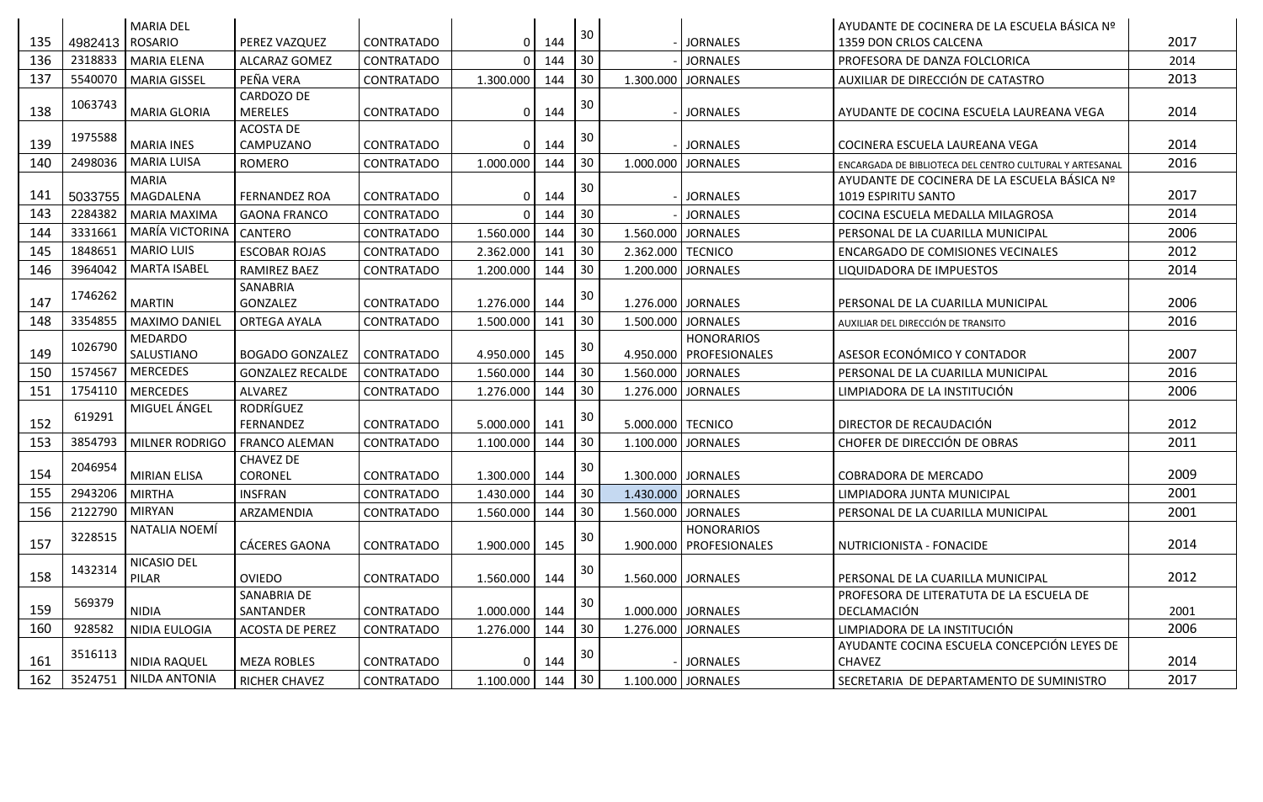|     |         | <b>MARIA DEL</b>                     |                         |                   |                |     | 30     |                      |                         | AYUDANTE DE COCINERA DE LA ESCUELA BÁSICA Nº            |      |
|-----|---------|--------------------------------------|-------------------------|-------------------|----------------|-----|--------|----------------------|-------------------------|---------------------------------------------------------|------|
| 135 | 4982413 | <b>ROSARIO</b>                       | PEREZ VAZQUEZ           | CONTRATADO        | $\Omega$       | 144 |        |                      | <b>JORNALES</b>         | 1359 DON CRLOS CALCENA                                  | 2017 |
| 136 | 2318833 | <b>MARIA ELENA</b>                   | ALCARAZ GOMEZ           | <b>CONTRATADO</b> |                | 144 | 30     |                      | <b>JORNALES</b>         | PROFESORA DE DANZA FOLCLORICA                           | 2014 |
| 137 | 5540070 | <b>MARIA GISSEL</b>                  | PEÑA VERA               | <b>CONTRATADO</b> | 1.300.000      | 144 | 30     | 1.300.000 JORNALES   |                         | AUXILIAR DE DIRECCIÓN DE CATASTRO                       | 2013 |
|     | 1063743 |                                      | CARDOZO DE              |                   |                |     | 30     |                      |                         |                                                         |      |
| 138 |         | <b>MARIA GLORIA</b>                  | <b>MERELES</b>          | <b>CONTRATADO</b> | 0              | 144 |        |                      | <b>JORNALES</b>         | AYUDANTE DE COCINA ESCUELA LAUREANA VEGA                | 2014 |
|     | 1975588 |                                      | <b>ACOSTA DE</b>        |                   |                |     | 30     |                      |                         |                                                         |      |
| 139 |         | <b>MARIA INES</b>                    | CAMPUZANO               | CONTRATADO        | $\overline{0}$ | 144 |        |                      | <b>JORNALES</b>         | COCINERA ESCUELA LAUREANA VEGA                          | 2014 |
| 140 | 2498036 | <b>MARIA LUISA</b>                   | <b>ROMERO</b>           | CONTRATADO        | 1.000.000      | 144 | 30     | 1.000.000 JORNALES   |                         | ENCARGADA DE BIBLIOTECA DEL CENTRO CULTURAL Y ARTESANAL | 2016 |
|     |         | <b>MARIA</b>                         |                         |                   |                |     | 30     |                      |                         | AYUDANTE DE COCINERA DE LA ESCUELA BÁSICA Nº            |      |
| 141 | 5033755 | MAGDALENA                            | <b>FERNANDEZ ROA</b>    | CONTRATADO        | 0              | 144 |        |                      | <b>JORNALES</b>         | 1019 ESPIRITU SANTO                                     | 2017 |
| 143 | 2284382 | <b>MARIA MAXIMA</b>                  | <b>GAONA FRANCO</b>     | <b>CONTRATADO</b> | $\Omega$       | 144 | 30     |                      | <b>JORNALES</b>         | COCINA ESCUELA MEDALLA MILAGROSA                        | 2014 |
| 144 | 3331661 | MARÍA VICTORINA                      | CANTERO                 | CONTRATADO        | 1.560.000      | 144 | 30     |                      | 1.560.000 JORNALES      | PERSONAL DE LA CUARILLA MUNICIPAL                       | 2006 |
| 145 | 1848651 | <b>MARIO LUIS</b>                    | <b>ESCOBAR ROJAS</b>    | CONTRATADO        | 2.362.000      | 141 | 30     | 2.362.000 TECNICO    |                         | <b>ENCARGADO DE COMISIONES VECINALES</b>                | 2012 |
| 146 | 3964042 | <b>MARTA ISABEL</b>                  | RAMIREZ BAEZ            | <b>CONTRATADO</b> | 1.200.000      | 144 | 30     |                      | 1.200.000 JORNALES      | LIQUIDADORA DE IMPUESTOS                                | 2014 |
|     | 1746262 |                                      | SANABRIA                |                   |                |     | 30     |                      |                         |                                                         |      |
| 147 |         | <b>MARTIN</b>                        | <b>GONZALEZ</b>         | CONTRATADO        | 1.276.000      | 144 |        | 1.276.000 JORNALES   |                         | PERSONAL DE LA CUARILLA MUNICIPAL                       | 2006 |
| 148 | 3354855 | <b>MAXIMO DANIEL</b>                 | <b>ORTEGA AYALA</b>     | CONTRATADO        | 1.500.000      | 141 | 30     | 1.500.000 JORNALES   |                         | AUXILIAR DEL DIRECCIÓN DE TRANSITO                      | 2016 |
|     | 1026790 | MEDARDO                              |                         |                   |                |     | 30     |                      | <b>HONORARIOS</b>       |                                                         |      |
| 149 |         | SALUSTIANO                           | <b>BOGADO GONZALEZ</b>  | CONTRATADO        | 4.950.000      | 145 |        |                      | 4.950.000 PROFESIONALES | ASESOR ECONÓMICO Y CONTADOR                             | 2007 |
| 150 | 1574567 | <b>MERCEDES</b>                      | <b>GONZALEZ RECALDE</b> | <b>CONTRATADO</b> | 1.560.000      | 144 | 30     | 1.560.000 JORNALES   |                         | PERSONAL DE LA CUARILLA MUNICIPAL                       | 2016 |
| 151 | 1754110 | <b>MERCEDES</b>                      | ALVAREZ                 | CONTRATADO        | 1.276.000      | 144 | 30     | 1.276.000 JORNALES   |                         | LIMPIADORA DE LA INSTITUCIÓN                            | 2006 |
|     | 619291  | MIGUEL ÁNGEL                         | RODRÍGUEZ               |                   |                |     | 30     |                      |                         |                                                         |      |
| 152 |         |                                      | FERNANDEZ               | CONTRATADO        | 5.000.000      | 141 |        | 5.000.000 TECNICO    |                         | DIRECTOR DE RECAUDACIÓN                                 | 2012 |
| 153 | 3854793 | MILNER RODRIGO                       | <b>FRANCO ALEMAN</b>    | CONTRATADO        | 1.100.000      | 144 | $30\,$ | 1.100.000 JORNALES   |                         | CHOFER DE DIRECCIÓN DE OBRAS                            | 2011 |
|     | 2046954 |                                      | <b>CHAVEZ DE</b>        |                   |                |     | 30     |                      |                         |                                                         |      |
| 154 |         | <b>MIRIAN ELISA</b>                  | CORONEL                 | <b>CONTRATADO</b> | 1.300.000      | 144 |        | 1.300.000 JORNALES   |                         | <b>COBRADORA DE MERCADO</b>                             | 2009 |
| 155 | 2943206 | <b>MIRTHA</b>                        | <b>INSFRAN</b>          | CONTRATADO        | 1.430.000      | 144 | 30     |                      | 1.430.000 JORNALES      | LIMPIADORA JUNTA MUNICIPAL                              | 2001 |
| 156 | 2122790 | <b>MIRYAN</b>                        | ARZAMENDIA              | CONTRATADO        | 1.560.000      | 144 | 30     | 1.560.000 JORNALES   |                         | PERSONAL DE LA CUARILLA MUNICIPAL                       | 2001 |
|     | 3228515 | NATALIA NOEMÍ                        |                         |                   |                |     | 30     |                      | <b>HONORARIOS</b>       |                                                         |      |
| 157 |         |                                      | CÁCERES GAONA           | CONTRATADO        | 1.900.000      | 145 |        |                      | 1.900.000 PROFESIONALES | NUTRICIONISTA - FONACIDE                                | 2014 |
|     | 1432314 | NICASIO DEL                          |                         |                   |                |     | 30     |                      |                         |                                                         |      |
| 158 |         | PILAR                                | <b>OVIEDO</b>           | CONTRATADO        | 1.560.000      | 144 |        | 1.560.000   JORNALES |                         | PERSONAL DE LA CUARILLA MUNICIPAL                       | 2012 |
| 159 | 569379  |                                      | SANABRIA DE             |                   |                |     | 30     |                      |                         | PROFESORA DE LITERATUTA DE LA ESCUELA DE                |      |
|     |         | <b>NIDIA</b>                         | SANTANDER               | <b>CONTRATADO</b> | 1.000.000      | 144 |        |                      | 1.000.000 JORNALES      | DECLAMACIÓN                                             | 2001 |
| 160 | 928582  | NIDIA EULOGIA                        | <b>ACOSTA DE PEREZ</b>  | CONTRATADO        | 1.276.000      | 144 | 30     | 1.276.000 JORNALES   |                         | LIMPIADORA DE LA INSTITUCIÓN                            | 2006 |
| 161 | 3516113 |                                      |                         |                   |                |     | 30     |                      |                         | AYUDANTE COCINA ESCUELA CONCEPCIÓN LEYES DE             | 2014 |
|     |         | NIDIA RAQUEL<br><b>NILDA ANTONIA</b> | <b>MEZA ROBLES</b>      | CONTRATADO        |                | 144 |        |                      | <b>JORNALES</b>         | CHAVEZ                                                  |      |
| 162 | 3524751 |                                      | <b>RICHER CHAVEZ</b>    | CONTRATADO        | 1.100.000      | 144 | 30     | 1.100.000 JORNALES   |                         | SECRETARIA DE DEPARTAMENTO DE SUMINISTRO                | 2017 |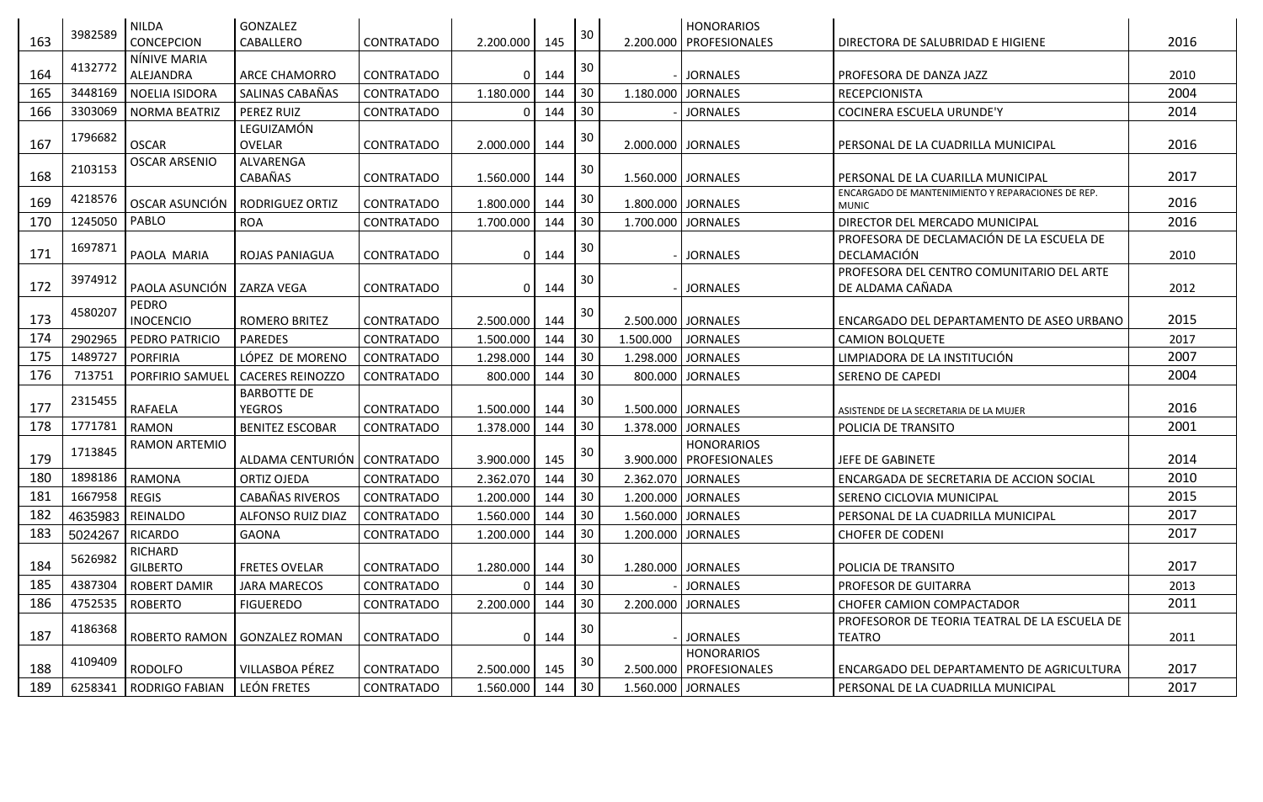|     | 3982589 | <b>NILDA</b>          | GONZALEZ                      |                   |             |     |        |           | <b>HONORARIOS</b>         |                                                                   |      |
|-----|---------|-----------------------|-------------------------------|-------------------|-------------|-----|--------|-----------|---------------------------|-------------------------------------------------------------------|------|
| 163 |         | <b>CONCEPCION</b>     | CABALLERO                     | <b>CONTRATADO</b> | 2.200.000   | 145 | 30     |           | 2.200.000   PROFESIONALES | DIRECTORA DE SALUBRIDAD E HIGIENE                                 | 2016 |
|     | 4132772 | NÍNIVE MARIA          |                               |                   |             |     | 30     |           |                           |                                                                   |      |
| 164 |         | ALEJANDRA             | <b>ARCE CHAMORRO</b>          | <b>CONTRATADO</b> | $\Omega$    | 144 |        |           | <b>JORNALES</b>           | PROFESORA DE DANZA JAZZ                                           | 2010 |
| 165 | 3448169 | <b>NOELIA ISIDORA</b> | SALINAS CABAÑAS               | CONTRATADO        | 1.180.000   | 144 | 30     |           | 1.180.000 JORNALES        | <b>RECEPCIONISTA</b>                                              | 2004 |
| 166 | 3303069 | <b>NORMA BEATRIZ</b>  | PEREZ RUIZ                    | CONTRATADO        |             | 144 | 30     |           | <b>JORNALES</b>           | COCINERA ESCUELA URUNDE'Y                                         | 2014 |
|     | 1796682 |                       | LEGUIZAMÓN                    |                   |             |     | 30     |           |                           |                                                                   |      |
| 167 |         | <b>OSCAR</b>          | <b>OVELAR</b>                 | <b>CONTRATADO</b> | 2.000.000   | 144 |        |           | 2.000.000   JORNALES      | PERSONAL DE LA CUADRILLA MUNICIPAL                                | 2016 |
|     | 2103153 | <b>OSCAR ARSENIO</b>  | ALVARENGA                     |                   |             |     | 30     |           |                           |                                                                   |      |
| 168 |         |                       | CABAÑAS                       | <b>CONTRATADO</b> | 1.560.000   | 144 |        |           | 1.560.000 JORNALES        | PERSONAL DE LA CUARILLA MUNICIPAL                                 | 2017 |
| 169 | 4218576 | OSCAR ASUNCIÓN        | <b>RODRIGUEZ ORTIZ</b>        | CONTRATADO        | 1.800.000   | 144 | 30     |           | 1.800.000 JORNALES        | ENCARGADO DE MANTENIMIENTO Y REPARACIONES DE REP.<br><b>MUNIC</b> | 2016 |
| 170 | 1245050 | <b>PABLO</b>          | <b>ROA</b>                    | CONTRATADO        | 1.700.000   | 144 | 30     | 1.700.000 | <b>JORNALES</b>           | DIRECTOR DEL MERCADO MUNICIPAL                                    | 2016 |
|     |         |                       |                               |                   |             |     |        |           |                           | PROFESORA DE DECLAMACIÓN DE LA ESCUELA DE                         |      |
| 171 | 1697871 | PAOLA MARIA           | ROJAS PANIAGUA                | <b>CONTRATADO</b> | $\mathbf 0$ | 144 | 30     |           | <b>JORNALES</b>           | DECLAMACIÓN                                                       | 2010 |
|     | 3974912 |                       |                               |                   |             |     | 30     |           |                           | PROFESORA DEL CENTRO COMUNITARIO DEL ARTE                         |      |
| 172 |         | PAOLA ASUNCIÓN        | ZARZA VEGA                    | <b>CONTRATADO</b> | $\mathbf 0$ | 144 |        |           | <b>JORNALES</b>           | DE ALDAMA CAÑADA                                                  | 2012 |
|     | 4580207 | <b>PEDRO</b>          |                               |                   |             |     | 30     |           |                           |                                                                   |      |
| 173 |         | <b>INOCENCIO</b>      | ROMERO BRITEZ                 | CONTRATADO        | 2.500.000   | 144 |        |           | 2.500.000 JORNALES        | ENCARGADO DEL DEPARTAMENTO DE ASEO URBANO                         | 2015 |
| 174 | 2902965 | PEDRO PATRICIO        | <b>PAREDES</b>                | CONTRATADO        | 1.500.000   | 144 | 30     | 1.500.000 | <b>JORNALES</b>           | <b>CAMION BOLQUETE</b>                                            | 2017 |
| 175 | 1489727 | <b>PORFIRIA</b>       | LÓPEZ DE MORENO               | <b>CONTRATADO</b> | 1.298.000   | 144 | 30     | 1.298.000 | <b>JORNALES</b>           | LIMPIADORA DE LA INSTITUCIÓN                                      | 2007 |
| 176 | 713751  | PORFIRIO SAMUEL       | <b>CACERES REINOZZO</b>       | <b>CONTRATADO</b> | 800.000     | 144 | 30     | 800.000   | <b>JORNALES</b>           | SERENO DE CAPEDI                                                  | 2004 |
|     | 2315455 |                       | <b>BARBOTTE DE</b>            |                   |             |     | 30     |           |                           |                                                                   |      |
| 177 |         | RAFAELA               | <b>YEGROS</b>                 | <b>CONTRATADO</b> | 1.500.000   | 144 |        |           | 1.500.000 JORNALES        | ASISTENDE DE LA SECRETARIA DE LA MUJER                            | 2016 |
| 178 | 1771781 | <b>RAMON</b>          | <b>BENITEZ ESCOBAR</b>        | CONTRATADO        | 1.378.000   | 144 | 30     | 1.378.000 | <b>JORNALES</b>           | POLICIA DE TRANSITO                                               | 2001 |
|     | 1713845 | RAMON ARTEMIO         |                               |                   |             |     | 30     |           | <b>HONORARIOS</b>         |                                                                   |      |
| 179 |         |                       | ALDAMA CENTURIÓN   CONTRATADO |                   | 3.900.000   | 145 |        |           | 3.900.000 PROFESIONALES   | JEFE DE GABINETE                                                  | 2014 |
| 180 | 1898186 | <b>RAMONA</b>         | ORTIZ OJEDA                   | CONTRATADO        | 2.362.070   | 144 | 30     |           | 2.362.070 JORNALES        | ENCARGADA DE SECRETARIA DE ACCION SOCIAL                          | 2010 |
| 181 | 1667958 | <b>REGIS</b>          | CABAÑAS RIVEROS               | <b>CONTRATADO</b> | 1.200.000   | 144 | 30     |           | 1.200.000 JORNALES        | SERENO CICLOVIA MUNICIPAL                                         | 2015 |
| 182 | 4635983 | REINALDO              | ALFONSO RUIZ DIAZ             | <b>CONTRATADO</b> | 1.560.000   | 144 | 30     |           | 1.560.000 JORNALES        | PERSONAL DE LA CUADRILLA MUNICIPAL                                | 2017 |
| 183 | 5024267 | <b>RICARDO</b>        | <b>GAONA</b>                  | <b>CONTRATADO</b> | 1.200.000   | 144 | 30     | 1.200.000 | <b>JORNALES</b>           | <b>CHOFER DE CODENI</b>                                           | 2017 |
|     | 5626982 | RICHARD               |                               |                   |             |     | $30\,$ |           |                           |                                                                   |      |
| 184 |         | <b>GILBERTO</b>       | <b>FRETES OVELAR</b>          | <b>CONTRATADO</b> | 1.280.000   | 144 |        |           | 1.280.000 JORNALES        | POLICIA DE TRANSITO                                               | 2017 |
| 185 | 4387304 | <b>ROBERT DAMIR</b>   | <b>JARA MARECOS</b>           | CONTRATADO        |             | 144 | 30     |           | <b>JORNALES</b>           | <b>PROFESOR DE GUITARRA</b>                                       | 2013 |
| 186 | 4752535 | <b>ROBERTO</b>        | <b>FIGUEREDO</b>              | <b>CONTRATADO</b> | 2.200.000   | 144 | 30     | 2.200.000 | <b>JORNALES</b>           | <b>CHOFER CAMION COMPACTADOR</b>                                  | 2011 |
|     | 4186368 |                       |                               |                   |             |     | 30     |           |                           | PROFESOROR DE TEORIA TEATRAL DE LA ESCUELA DE                     |      |
| 187 |         | ROBERTO RAMON         | <b>GONZALEZ ROMAN</b>         | <b>CONTRATADO</b> | 0           | 144 |        |           | <b>JORNALES</b>           | <b>TEATRO</b>                                                     | 2011 |
|     | 4109409 |                       |                               |                   |             |     | 30     |           | <b>HONORARIOS</b>         |                                                                   |      |
| 188 |         | <b>RODOLFO</b>        | VILLASBOA PÉREZ               | <b>CONTRATADO</b> | 2.500.000   | 145 |        |           | 2.500.000 PROFESIONALES   | ENCARGADO DEL DEPARTAMENTO DE AGRICULTURA                         | 2017 |
| 189 | 6258341 | <b>RODRIGO FABIAN</b> | LEÓN FRETES                   | CONTRATADO        | 1.560.000   | 144 | 30     |           | 1.560.000 JORNALES        | PERSONAL DE LA CUADRILLA MUNICIPAL                                | 2017 |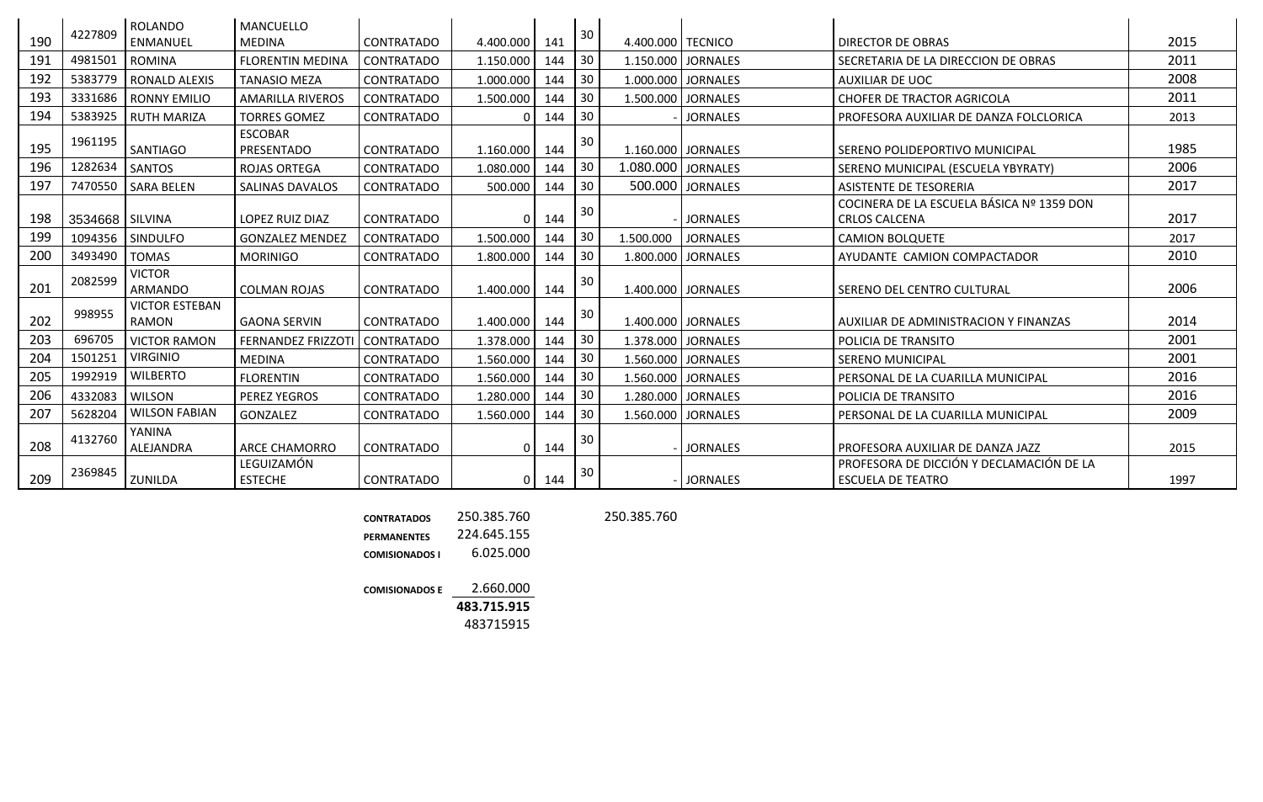|     | 4227809         | ROLANDO                        | MANCUELLO                |                   |                |     | 30 |                      |                    |                                              |      |
|-----|-----------------|--------------------------------|--------------------------|-------------------|----------------|-----|----|----------------------|--------------------|----------------------------------------------|------|
| 190 |                 | <b>ENMANUEL</b>                | <b>MEDINA</b>            | <b>CONTRATADO</b> | 4.400.000      | 141 |    | 4.400.000 TECNICO    |                    | <b>DIRECTOR DE OBRAS</b>                     | 2015 |
| 191 | 4981501         | <b>ROMINA</b>                  | <b>FLORENTIN MEDINA</b>  | CONTRATADO        | 1.150.000      | 144 | 30 |                      | 1.150.000 JORNALES | SECRETARIA DE LA DIRECCION DE OBRAS          | 2011 |
| 192 | 5383779         | RONALD ALEXIS                  | <b>TANASIO MEZA</b>      | <b>CONTRATADO</b> | 1.000.000      | 144 | 30 |                      | 1.000.000 JORNALES | <b>AUXILIAR DE UOC</b>                       | 2008 |
| 193 | 3331686         | <b>RONNY EMILIO</b>            | <b>AMARILLA RIVEROS</b>  | <b>CONTRATADO</b> | 1.500.000      | 144 | 30 |                      | 1.500.000 JORNALES | <b>CHOFER DE TRACTOR AGRICOLA</b>            | 2011 |
| 194 | 5383925         | <b>RUTH MARIZA</b>             | <b>TORRES GOMEZ</b>      | <b>CONTRATADO</b> | 0              | 144 | 30 |                      | <b>JORNALES</b>    | PROFESORA AUXILIAR DE DANZA FOLCLORICA       | 2013 |
|     | 1961195         |                                | <b>ESCOBAR</b>           |                   |                |     | 30 |                      |                    |                                              |      |
| 195 |                 | SANTIAGO                       | PRESENTADO               | <b>CONTRATADO</b> | 1.160.000      | 144 |    |                      | 1.160.000 JORNALES | <b>SERENO POLIDEPORTIVO MUNICIPAL</b>        | 1985 |
| 196 | 1282634         | SANTOS                         | <b>ROJAS ORTEGA</b>      | <b>CONTRATADO</b> | 1.080.000      | 144 | 30 | 1.080.000 JORNALES   |                    | SERENO MUNICIPAL (ESCUELA YBYRATY)           | 2006 |
| 197 | 7470550         | <b>SARA BELEN</b>              | <b>SALINAS DAVALOS</b>   | <b>CONTRATADO</b> | 500.000        | 144 | 30 |                      | 500.000 JORNALES   | <b>ASISTENTE DE TESORERIA</b>                | 2017 |
|     |                 |                                |                          |                   |                |     | 30 |                      |                    | COCINERA DE LA ESCUELA BÁSICA Nº 1359 DON    |      |
| 198 | 3534668 SILVINA |                                | LOPEZ RUIZ DIAZ          | <b>CONTRATADO</b> | $\mathbf{0}$   | 144 |    |                      | <b>JORNALES</b>    | <b>CRLOS CALCENA</b>                         | 2017 |
| 199 | 1094356         | SINDULFO                       | <b>GONZALEZ MENDEZ</b>   | <b>CONTRATADO</b> | 1.500.000      | 144 | 30 | 1.500.000            | <b>JORNALES</b>    | <b>CAMION BOLQUETE</b>                       | 2017 |
| 200 | 3493490         | <b>TOMAS</b>                   | <b>MORINIGO</b>          | <b>CONTRATADO</b> | 1.800.000      | 144 | 30 | 1.800.000            | <b>JORNALES</b>    | AYUDANTE CAMION COMPACTADOR                  | 2010 |
|     | 2082599         | <b>VICTOR</b>                  |                          |                   |                |     | 30 |                      |                    |                                              |      |
| 201 |                 | ARMANDO                        | <b>COLMAN ROJAS</b>      | <b>CONTRATADO</b> | 1.400.000      | 144 |    | 1.400.000   JORNALES |                    | <b>SERENO DEL CENTRO CULTURAL</b>            | 2006 |
| 202 | 998955          | <b>VICTOR ESTEBAN</b><br>RAMON | <b>GAONA SERVIN</b>      | <b>CONTRATADO</b> | 1.400.000      | 144 | 30 |                      | 1.400.000 JORNALES | <b>AUXILIAR DE ADMINISTRACION Y FINANZAS</b> | 2014 |
| 203 | 696705          | <b>VICTOR RAMON</b>            | <b>FERNANDEZ FRIZZOT</b> | <b>CONTRATADO</b> | 1.378.000      | 144 | 30 |                      | 1.378.000 JORNALES | <b>POLICIA DE TRANSITO</b>                   | 2001 |
| 204 | 1501251         | <b>VIRGINIO</b>                | <b>MEDINA</b>            | <b>CONTRATADO</b> | 1.560.000      | 144 | 30 |                      | 1.560.000 JORNALES | <b>SERENO MUNICIPAL</b>                      | 2001 |
| 205 | 1992919         | <b>WILBERTO</b>                | <b>FLORENTIN</b>         | <b>CONTRATADO</b> | 1.560.000      | 144 | 30 |                      | 1.560.000 JORNALES | PERSONAL DE LA CUARILLA MUNICIPAL            | 2016 |
| 206 | 4332083         | <b>WILSON</b>                  | <b>PEREZ YEGROS</b>      | CONTRATADO        | 1.280.000      | 144 | 30 |                      | 1.280.000 JORNALES | <b>POLICIA DE TRANSITO</b>                   | 2016 |
| 207 | 5628204         | <b>WILSON FABIAN</b>           | GONZALEZ                 | <b>CONTRATADO</b> | 1.560.000      | 144 | 30 | 1.560.000            | <b>JORNALES</b>    | PERSONAL DE LA CUARILLA MUNICIPAL            | 2009 |
|     |                 | YANINA                         |                          |                   |                |     |    |                      |                    |                                              |      |
| 208 | 4132760         | ALEJANDRA                      | ARCE CHAMORRO            | <b>CONTRATADO</b> | $\overline{0}$ | 144 | 30 |                      | <b>JORNALES</b>    | PROFESORA AUXILIAR DE DANZA JAZZ             | 2015 |
|     |                 |                                | LEGUIZAMÓN               |                   |                |     |    |                      |                    | PROFESORA DE DICCIÓN Y DECLAMACIÓN DE LA     |      |
| 209 | 2369845         | ZUNILDA                        | <b>ESTECHE</b>           | CONTRATADO        | $\overline{0}$ | 144 | 30 |                      | <b>JORNALES</b>    | <b>ESCUELA DE TEATRO</b>                     | 1997 |

| <b>CONTRATADOS</b>    | 250.385.760 | 250.385.760 |
|-----------------------|-------------|-------------|
| <b>PERMANENTES</b>    | 224.645.155 |             |
| <b>COMISIONADOS I</b> | 6.025.000   |             |
|                       |             |             |

**COMISIONADOS E** 2.660.000 **483.715.915**

483715915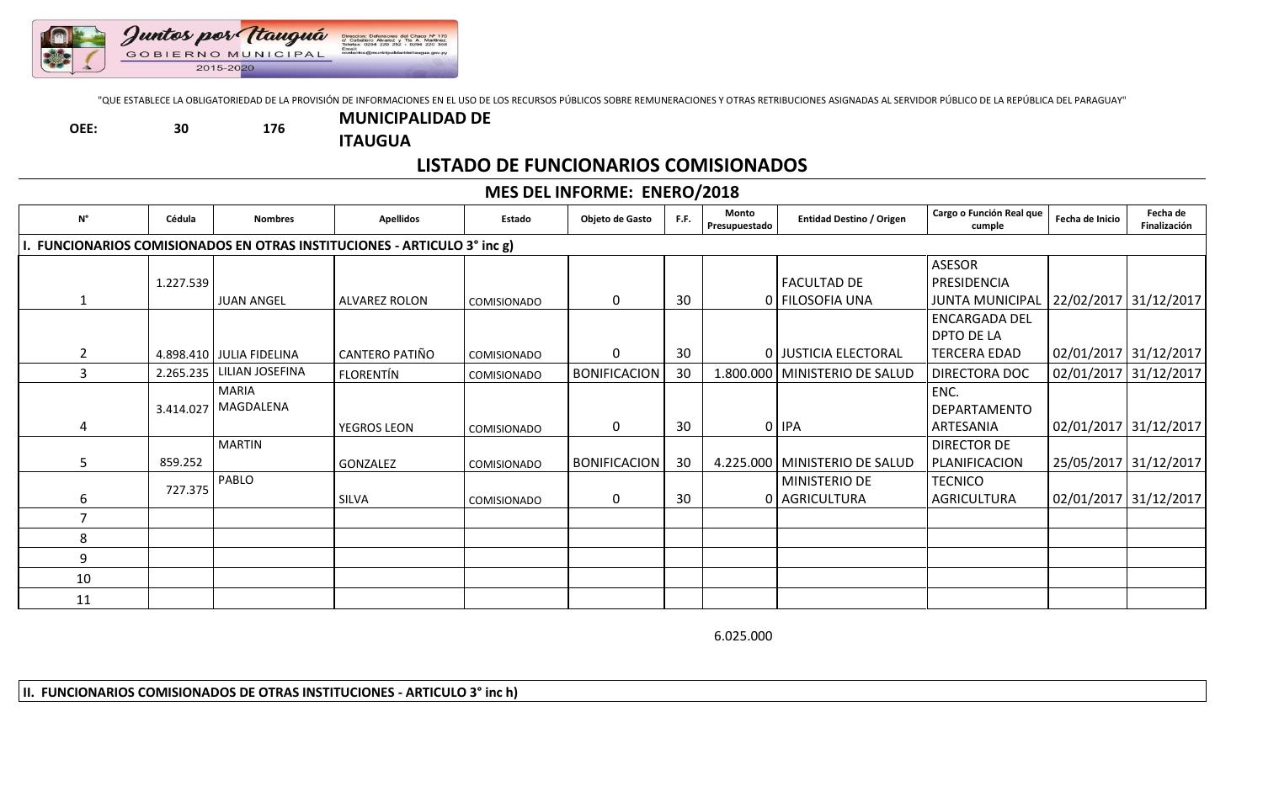

**OEE: 30 176**

"QUE ESTABLECE LA OBLIGATORIEDAD DE LA PROVISIÓN DE INFORMACIONES EN EL USO DE LOS RECURSOS PÚBLICOS SOBRE REMUNERACIONES Y OTRAS RETRIBUCIONES ASIGNADAS AL SERVIDOR PÚBLICO DE LA REPÚBLICA DEL PARAGUAY"

#### **MUNICIPALIDAD DE**

**ITAUGUA**

## **LISTADO DE FUNCIONARIOS COMISIONADOS**

## **MES DEL INFORME: ENERO/2018**

| N°                                                                      | Cédula    | <b>Nombres</b>           | <b>Apellidos</b> | Estado             | Objeto de Gasto     | F.F. | <b>Monto</b><br>Presupuestado | <b>Entidad Destino / Origen</b> | Cargo o Función Real que<br>cumple | Fecha de Inicio       | Fecha de<br>Finalización |
|-------------------------------------------------------------------------|-----------|--------------------------|------------------|--------------------|---------------------|------|-------------------------------|---------------------------------|------------------------------------|-----------------------|--------------------------|
| . FUNCIONARIOS COMISIONADOS EN OTRAS INSTITUCIONES - ARTICULO 3° inc g) |           |                          |                  |                    |                     |      |                               |                                 |                                    |                       |                          |
|                                                                         |           |                          |                  |                    |                     |      |                               |                                 | <b>ASESOR</b>                      |                       |                          |
|                                                                         | 1.227.539 |                          |                  |                    |                     |      |                               | <b>FACULTAD DE</b>              | PRESIDENCIA                        |                       |                          |
|                                                                         |           | <b>JUAN ANGEL</b>        | ALVAREZ ROLON    | <b>COMISIONADO</b> | 0                   | 30   |                               | 0 FILOSOFIA UNA                 | <b>JUNTA MUNICIPAL</b>             | 22/02/2017 31/12/2017 |                          |
|                                                                         |           |                          |                  |                    |                     |      |                               |                                 | <b>ENCARGADA DEL</b>               |                       |                          |
|                                                                         |           |                          |                  |                    |                     |      |                               |                                 | DPTO DE LA                         |                       |                          |
| $\overline{2}$                                                          |           | 4.898.410 JULIA FIDELINA | CANTERO PATIÑO   | <b>COMISIONADO</b> | $\mathbf{0}$        | 30   |                               | 0 JUSTICIA ELECTORAL            | <b>TERCERA EDAD</b>                | 02/01/2017 31/12/2017 |                          |
| 3                                                                       | 2.265.235 | LILIAN JOSEFINA          | FLORENTÍN        | <b>COMISIONADO</b> | <b>BONIFICACION</b> | 30   |                               | 1.800.000   MINISTERIO DE SALUD | DIRECTORA DOC                      | 02/01/2017 31/12/2017 |                          |
|                                                                         |           | <b>MARIA</b>             |                  |                    |                     |      |                               |                                 | ENC.                               |                       |                          |
|                                                                         | 3.414.027 | MAGDALENA                |                  |                    |                     |      |                               |                                 | DEPARTAMENTO                       |                       |                          |
| 4                                                                       |           |                          | YEGROS LEON      | <b>COMISIONADO</b> | $\mathbf 0$         | 30   |                               | 0 IPA                           | ARTESANIA                          | 02/01/2017 31/12/2017 |                          |
|                                                                         |           | <b>MARTIN</b>            |                  |                    |                     |      |                               |                                 | <b>DIRECTOR DE</b>                 |                       |                          |
| 5                                                                       | 859.252   |                          | GONZALEZ         | <b>COMISIONADO</b> | <b>BONIFICACION</b> | 30   |                               | 4.225.000   MINISTERIO DE SALUD | PLANIFICACION                      |                       | 25/05/2017 31/12/2017    |
|                                                                         | 727.375   | PABLO                    |                  |                    |                     |      |                               | MINISTERIO DE                   | <b>TECNICO</b>                     |                       |                          |
| 6                                                                       |           |                          | SILVA            | <b>COMISIONADO</b> | $\mathbf{0}$        | 30   |                               | 0   AGRICULTURA                 | <b>AGRICULTURA</b>                 | 02/01/2017 31/12/2017 |                          |
|                                                                         |           |                          |                  |                    |                     |      |                               |                                 |                                    |                       |                          |
| 8                                                                       |           |                          |                  |                    |                     |      |                               |                                 |                                    |                       |                          |
| 9                                                                       |           |                          |                  |                    |                     |      |                               |                                 |                                    |                       |                          |
| 10                                                                      |           |                          |                  |                    |                     |      |                               |                                 |                                    |                       |                          |
| 11                                                                      |           |                          |                  |                    |                     |      |                               |                                 |                                    |                       |                          |

6.025.000

**II. FUNCIONARIOS COMISIONADOS DE OTRAS INSTITUCIONES - ARTICULO 3° inc h)**